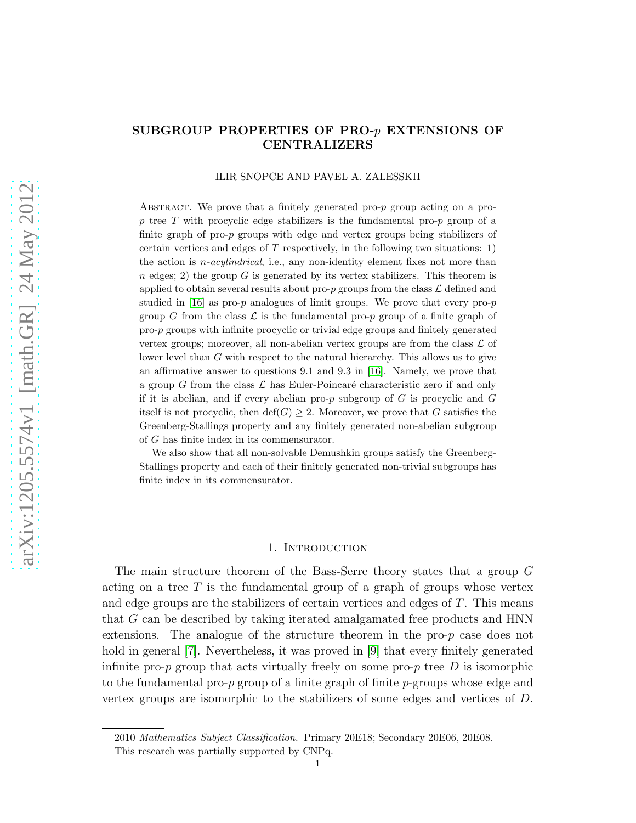# SUBGROUP PROPERTIES OF PRO-p EXTENSIONS OF CENTRALIZERS

### ILIR SNOPCE AND PAVEL A. ZALESSKII

ABSTRACT. We prove that a finitely generated pro- $p$  group acting on a prop tree T with procyclic edge stabilizers is the fundamental pro-p group of a finite graph of pro-p groups with edge and vertex groups being stabilizers of certain vertices and edges of T respectively, in the following two situations: 1) the action is *n*-*acylindrical*, i.e., any non-identity element fixes not more than  $n$  edges; 2) the group G is generated by its vertex stabilizers. This theorem is applied to obtain several results about pro-p groups from the class  $\mathcal L$  defined and studied in [\[16\]](#page-27-0) as pro- $p$  analogues of limit groups. We prove that every pro- $p$ group G from the class  $\mathcal L$  is the fundamental pro-p group of a finite graph of pro-p groups with infinite procyclic or trivial edge groups and finitely generated vertex groups; moreover, all non-abelian vertex groups are from the class  $\mathcal L$  of lower level than G with respect to the natural hierarchy. This allows us to give an affirmative answer to questions 9.1 and 9.3 in [\[16\]](#page-27-0). Namely, we prove that a group G from the class  $\mathcal L$  has Euler-Poincaré characteristic zero if and only if it is abelian, and if every abelian pro- $p$  subgroup of  $G$  is procyclic and  $G$ itself is not procyclic, then  $\text{def}(G) \geq 2$ . Moreover, we prove that G satisfies the Greenberg-Stallings property and any finitely generated non-abelian subgroup of G has finite index in its commensurator.

We also show that all non-solvable Demushkin groups satisfy the Greenberg-Stallings property and each of their finitely generated non-trivial subgroups has finite index in its commensurator.

### 1. INTRODUCTION

The main structure theorem of the Bass-Serre theory states that a group G acting on a tree  $T$  is the fundamental group of a graph of groups whose vertex and edge groups are the stabilizers of certain vertices and edges of  $T$ . This means that G can be described by taking iterated amalgamated free products and HNN extensions. The analogue of the structure theorem in the pro- $p$  case does not hold in general [\[7\]](#page-26-0). Nevertheless, it was proved in [\[9\]](#page-26-1) that every finitely generated infinite pro- $p$  group that acts virtually freely on some pro- $p$  tree  $D$  is isomorphic to the fundamental pro-p group of a finite graph of finite  $p$ -groups whose edge and vertex groups are isomorphic to the stabilizers of some edges and vertices of D.

<sup>2010</sup> Mathematics Subject Classification. Primary 20E18; Secondary 20E06, 20E08.

This research was partially supported by CNPq.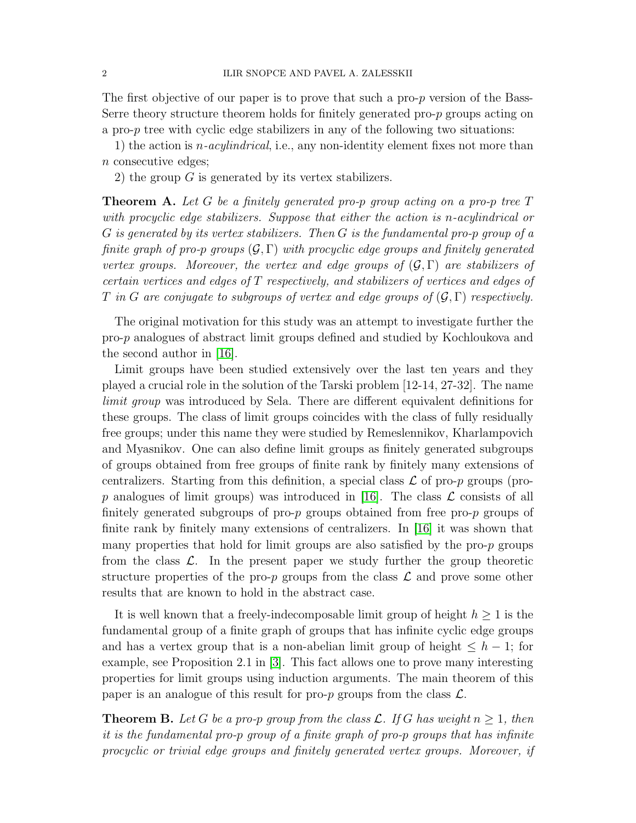The first objective of our paper is to prove that such a pro-p version of the Bass-Serre theory structure theorem holds for finitely generated pro- $p$  groups acting on a pro- $p$  tree with cyclic edge stabilizers in any of the following two situations:

1) the action is  $n$ -acylindrical, i.e., any non-identity element fixes not more than n consecutive edges;

2) the group  $G$  is generated by its vertex stabilizers.

**Theorem A.** Let G be a finitely generated pro-p group acting on a pro-p tree T with procyclic edge stabilizers. Suppose that either the action is n-acylindrical or G is generated by its vertex stabilizers. Then G is the fundamental pro-p group of a finite graph of pro-p groups  $(G, \Gamma)$  with procyclic edge groups and finitely generated vertex groups. Moreover, the vertex and edge groups of  $(\mathcal{G}, \Gamma)$  are stabilizers of certain vertices and edges of T respectively, and stabilizers of vertices and edges of T in G are conjugate to subgroups of vertex and edge groups of  $(\mathcal{G}, \Gamma)$  respectively.

The original motivation for this study was an attempt to investigate further the pro-p analogues of abstract limit groups defined and studied by Kochloukova and the second author in [\[16\]](#page-27-0).

Limit groups have been studied extensively over the last ten years and they played a crucial role in the solution of the Tarski problem [12-14, 27-32]. The name limit group was introduced by Sela. There are different equivalent definitions for these groups. The class of limit groups coincides with the class of fully residually free groups; under this name they were studied by Remeslennikov, Kharlampovich and Myasnikov. One can also define limit groups as finitely generated subgroups of groups obtained from free groups of finite rank by finitely many extensions of centralizers. Starting from this definition, a special class  $\mathcal L$  of pro-p groups (pro-p analogues of limit groups) was introduced in [\[16\]](#page-27-0). The class  $\mathcal L$  consists of all finitely generated subgroups of pro- $p$  groups obtained from free pro- $p$  groups of finite rank by finitely many extensions of centralizers. In [\[16\]](#page-27-0) it was shown that many properties that hold for limit groups are also satisfied by the pro-p groups from the class  $\mathcal{L}$ . In the present paper we study further the group theoretic structure properties of the pro-p groups from the class  $\mathcal L$  and prove some other results that are known to hold in the abstract case.

It is well known that a freely-indecomposable limit group of height  $h \geq 1$  is the fundamental group of a finite graph of groups that has infinite cyclic edge groups and has a vertex group that is a non-abelian limit group of height  $\leq h-1$ ; for example, see Proposition 2.1 in [\[3\]](#page-26-2). This fact allows one to prove many interesting properties for limit groups using induction arguments. The main theorem of this paper is an analogue of this result for pro- $p$  groups from the class  $\mathcal{L}$ .

**Theorem B.** Let G be a pro-p group from the class L. If G has weight  $n > 1$ , then it is the fundamental pro-p group of a finite graph of pro-p groups that has infinite procyclic or trivial edge groups and finitely generated vertex groups. Moreover, if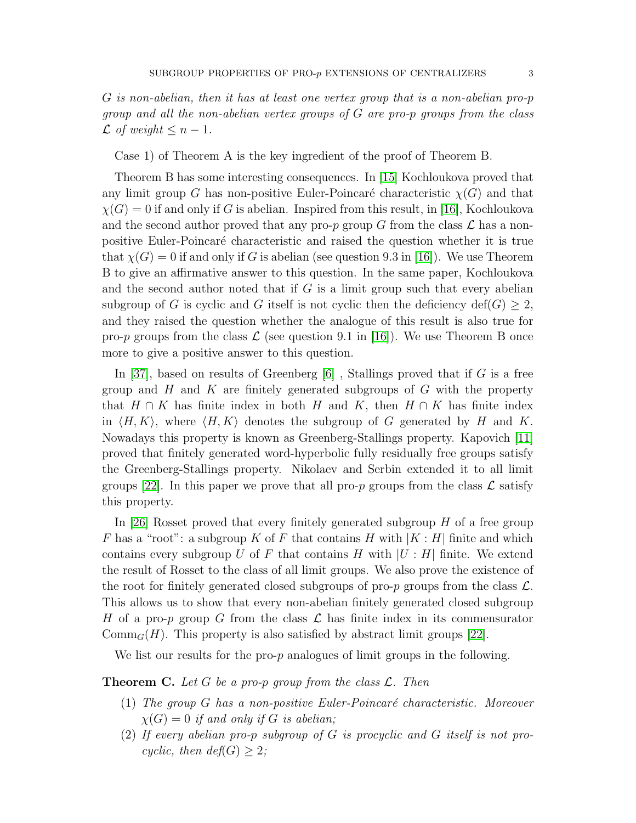Case 1) of Theorem A is the key ingredient of the proof of Theorem B.

Theorem B has some interesting consequences. In [\[15\]](#page-27-1) Kochloukova proved that any limit group G has non-positive Euler-Poincaré characteristic  $\chi(G)$  and that  $\chi(G) = 0$  if and only if G is abelian. Inspired from this result, in [\[16\]](#page-27-0), Kochloukova and the second author proved that any pro-p group G from the class  $\mathcal L$  has a nonpositive Euler-Poincar´e characteristic and raised the question whether it is true that  $\chi(G) = 0$  if and only if G is abelian (see question 9.3 in [\[16\]](#page-27-0)). We use Theorem B to give an affirmative answer to this question. In the same paper, Kochloukova and the second author noted that if  $G$  is a limit group such that every abelian subgroup of G is cyclic and G itself is not cyclic then the deficiency def(G)  $\geq$  2, and they raised the question whether the analogue of this result is also true for pro-p groups from the class  $\mathcal L$  (see question 9.1 in [\[16\]](#page-27-0)). We use Theorem B once more to give a positive answer to this question.

In [\[37\]](#page-27-2), based on results of Greenberg  $[6]$ , Stallings proved that if G is a free group and  $H$  and  $K$  are finitely generated subgroups of  $G$  with the property that  $H \cap K$  has finite index in both H and K, then  $H \cap K$  has finite index in  $\langle H, K \rangle$ , where  $\langle H, K \rangle$  denotes the subgroup of G generated by H and K. Nowadays this property is known as Greenberg-Stallings property. Kapovich [\[11\]](#page-26-4) proved that finitely generated word-hyperbolic fully residually free groups satisfy the Greenberg-Stallings property. Nikolaev and Serbin extended it to all limit groups [\[22\]](#page-27-3). In this paper we prove that all pro-p groups from the class  $\mathcal L$  satisfy this property.

In [\[26\]](#page-27-4) Rosset proved that every finitely generated subgroup  $H$  of a free group F has a "root": a subgroup K of F that contains H with  $|K : H|$  finite and which contains every subgroup U of F that contains H with  $|U : H|$  finite. We extend the result of Rosset to the class of all limit groups. We also prove the existence of the root for finitely generated closed subgroups of pro-p groups from the class  $\mathcal{L}$ . This allows us to show that every non-abelian finitely generated closed subgroup H of a pro-p group G from the class  $\mathcal L$  has finite index in its commensurator  $\mathrm{Comm}_G(H)$ . This property is also satisfied by abstract limit groups [\[22\]](#page-27-3).

We list our results for the pro-p analogues of limit groups in the following.

## **Theorem C.** Let G be a pro-p group from the class  $\mathcal{L}$ . Then

- (1) The group  $G$  has a non-positive Euler-Poincaré characteristic. Moreover  $\chi(G) = 0$  if and only if G is abelian;
- (2) If every abelian pro-p subgroup of G is procyclic and G itself is not procyclic, then  $def(G) > 2$ ;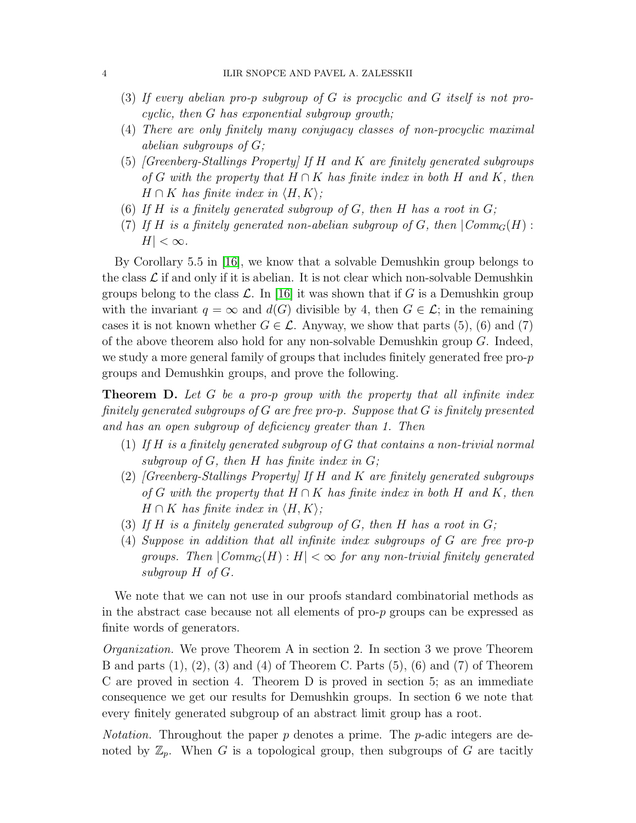- (3) If every abelian pro-p subgroup of G is procyclic and G itself is not procyclic, then G has exponential subgroup growth;
- (4) There are only finitely many conjugacy classes of non-procyclic maximal abelian subgroups of G;
- $(5)$  [Greenberg-Stallings Property] If H and K are finitely generated subgroups of G with the property that  $H \cap K$  has finite index in both H and K, then  $H \cap K$  has finite index in  $\langle H, K \rangle$ ;
- (6) If H is a finitely generated subgroup of G, then H has a root in  $G$ ;
- (7) If H is a finitely generated non-abelian subgroup of G, then  $|Comm_G(H)|$ :  $H| < \infty$ .

By Corollary 5.5 in [\[16\]](#page-27-0), we know that a solvable Demushkin group belongs to the class  $\mathcal L$  if and only if it is abelian. It is not clear which non-solvable Demushkin groups belong to the class  $\mathcal{L}$ . In [\[16\]](#page-27-0) it was shown that if G is a Demushkin group with the invariant  $q = \infty$  and  $d(G)$  divisible by 4, then  $G \in \mathcal{L}$ ; in the remaining cases it is not known whether  $G \in \mathcal{L}$ . Anyway, we show that parts (5), (6) and (7) of the above theorem also hold for any non-solvable Demushkin group G. Indeed, we study a more general family of groups that includes finitely generated free pro-p groups and Demushkin groups, and prove the following.

**Theorem D.** Let G be a pro-p group with the property that all infinite index finitely generated subgroups of  $G$  are free pro-p. Suppose that  $G$  is finitely presented and has an open subgroup of deficiency greater than 1. Then

- (1) If  $H$  is a finitely generated subgroup of  $G$  that contains a non-trivial normal subgroup of  $G$ , then  $H$  has finite index in  $G$ ;
- (2) [Greenberg-Stallings Property] If H and K are finitely generated subgroups of G with the property that  $H \cap K$  has finite index in both H and K, then  $H \cap K$  has finite index in  $\langle H, K \rangle$ ;
- (3) If H is a finitely generated subgroup of G, then H has a root in  $G$ ;
- (4) Suppose in addition that all infinite index subgroups of G are free pro-p groups. Then  $|Comm_G(H): H| < \infty$  for any non-trivial finitely generated subgroup H of G.

We note that we can not use in our proofs standard combinatorial methods as in the abstract case because not all elements of pro-p groups can be expressed as finite words of generators.

Organization. We prove Theorem A in section 2. In section 3 we prove Theorem B and parts  $(1), (2), (3)$  and  $(4)$  of Theorem C. Parts  $(5), (6)$  and  $(7)$  of Theorem C are proved in section 4. Theorem D is proved in section 5; as an immediate consequence we get our results for Demushkin groups. In section 6 we note that every finitely generated subgroup of an abstract limit group has a root.

*Notation.* Throughout the paper  $p$  denotes a prime. The  $p$ -adic integers are denoted by  $\mathbb{Z}_p$ . When G is a topological group, then subgroups of G are tacitly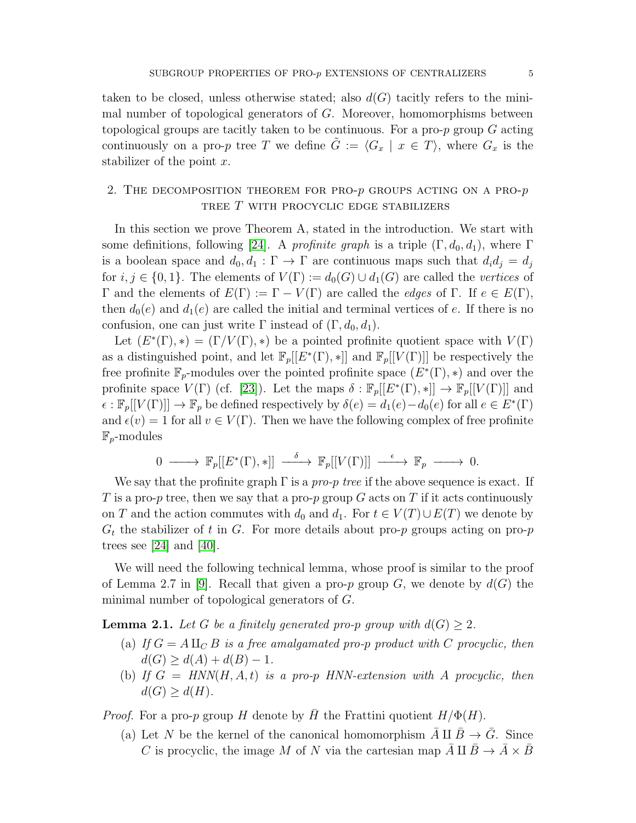taken to be closed, unless otherwise stated; also  $d(G)$  tacitly refers to the minimal number of topological generators of G. Moreover, homomorphisms between topological groups are tacitly taken to be continuous. For a pro-p group G acting continuously on a pro-p tree T we define  $\tilde{G} := \langle G_x | x \in T \rangle$ , where  $G_x$  is the stabilizer of the point  $x$ .

# 2. THE DECOMPOSITION THEOREM FOR PRO- $p$  groups acting on a pro- $p$ TREE  $T$  with procyclic edge stabilizers

In this section we prove Theorem A, stated in the introduction. We start with some definitions, following [\[24\]](#page-27-5). A profinite graph is a triple  $(\Gamma, d_0, d_1)$ , where  $\Gamma$ is a boolean space and  $d_0, d_1 : \Gamma \to \Gamma$  are continuous maps such that  $d_i d_j = d_j$ for  $i, j \in \{0, 1\}$ . The elements of  $V(\Gamma) := d_0(G) \cup d_1(G)$  are called the vertices of Γ and the elements of  $E(Γ) := Γ - V(Γ)$  are called the *edges* of Γ. If  $e ∈ E(Γ)$ , then  $d_0(e)$  and  $d_1(e)$  are called the initial and terminal vertices of e. If there is no confusion, one can just write Γ instead of  $(\Gamma, d_0, d_1)$ .

Let  $(E^*(\Gamma),*) = (\Gamma/V(\Gamma),*)$  be a pointed profinite quotient space with  $V(\Gamma)$ as a distinguished point, and let  $\mathbb{F}_p[[E^*(\Gamma),*]]$  and  $\mathbb{F}_p[[V(\Gamma)]]$  be respectively the free profinite  $\mathbb{F}_p$ -modules over the pointed profinite space  $(E^*(\Gamma), *)$  and over the profinite space  $V(\Gamma)$  (cf. [\[23\]](#page-27-6)). Let the maps  $\delta : \mathbb{F}_p[[E^*(\Gamma),*]] \to \mathbb{F}_p[[V(\Gamma)]]$  and  $\epsilon : \mathbb{F}_p[[V(\Gamma)]] \to \mathbb{F}_p$  be defined respectively by  $\delta(e) = d_1(e) - d_0(e)$  for all  $e \in E^*(\Gamma)$ and  $\epsilon(v) = 1$  for all  $v \in V(\Gamma)$ . Then we have the following complex of free profinite  $\mathbb{F}_p$ -modules

$$
0 \longrightarrow \mathbb{F}_p[[E^*(\Gamma),*]] \longrightarrow \mathbb{F}_p[[V(\Gamma)]] \longrightarrow \mathbb{F}_p \longrightarrow 0.
$$

We say that the profinite graph  $\Gamma$  is a pro-p tree if the above sequence is exact. If T is a pro-p tree, then we say that a pro-p group G acts on T if it acts continuously on T and the action commutes with  $d_0$  and  $d_1$ . For  $t \in V(T) \cup E(T)$  we denote by  $G_t$  the stabilizer of t in G. For more details about pro-p groups acting on pro-p trees see [\[24\]](#page-27-5) and [\[40\]](#page-28-0).

We will need the following technical lemma, whose proof is similar to the proof of Lemma 2.7 in [\[9\]](#page-26-1). Recall that given a pro-p group G, we denote by  $d(G)$  the minimal number of topological generators of G.

<span id="page-4-0"></span>**Lemma 2.1.** Let G be a finitely generated pro-p group with  $d(G) > 2$ .

- (a) If  $G = A \amalg_C B$  is a free amalgamated pro-p product with C procyclic, then  $d(G) \geq d(A) + d(B) - 1.$
- (b) If  $G = HNN(H, A, t)$  is a pro-p HNN-extension with A procyclic, then  $d(G) \geq d(H)$ .

*Proof.* For a pro-p group H denote by H the Frattini quotient  $H/\Phi(H)$ .

(a) Let N be the kernel of the canonical homomorphism  $\overline{A} \amalg \overline{B} \to \overline{G}$ . Since C is procyclic, the image M of N via the cartesian map  $\overline{A} \amalg \overline{B} \to \overline{A} \times \overline{B}$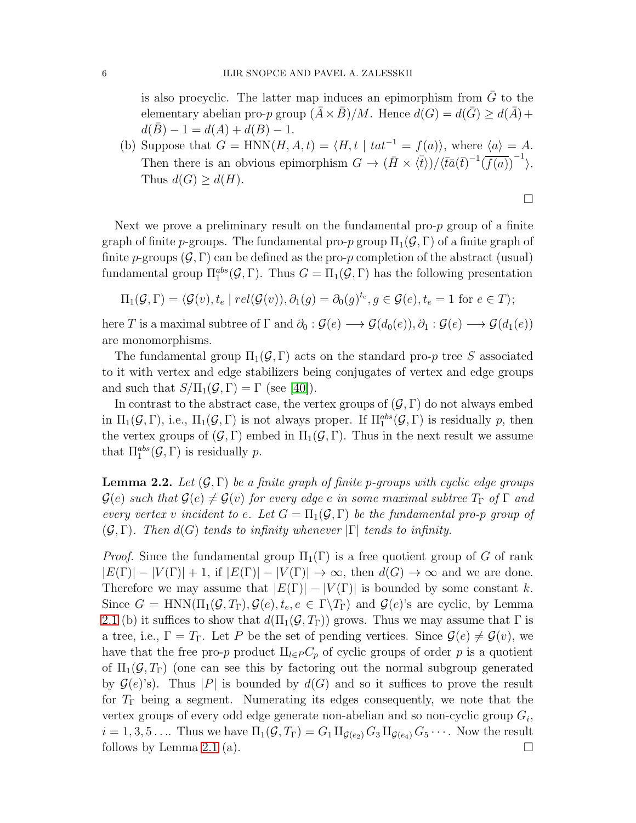is also procyclic. The latter map induces an epimorphism from  $\overline{G}$  to the elementary abelian pro-p group  $(\bar{A} \times \bar{B})/M$ . Hence  $d(G) = d(\bar{G}) \geq d(\bar{A}) +$  $d(\overline{B}) - 1 = d(A) + d(B) - 1.$ 

(b) Suppose that  $G = \text{HNN}(H, A, t) = \langle H, t | \text{tat}^{-1} = f(a) \rangle$ , where  $\langle a \rangle = A$ . Then there is an obvious epimorphism  $G \to (\bar{H} \times \langle \bar{t} \rangle)/\langle \bar{t}\bar{a}(\bar{t})^{-1}(\bar{f}(a))^{-1} \rangle$ . Thus  $d(G) \geq d(H)$ .

 $\Box$ 

Next we prove a preliminary result on the fundamental pro- $p$  group of a finite graph of finite p-groups. The fundamental pro-p group  $\Pi_1(\mathcal{G}, \Gamma)$  of a finite graph of finite p-groups  $(\mathcal{G}, \Gamma)$  can be defined as the pro-p completion of the abstract (usual) fundamental group  $\Pi_1^{abs}(\mathcal{G}, \Gamma)$ . Thus  $G = \Pi_1(\mathcal{G}, \Gamma)$  has the following presentation

$$
\Pi_1(\mathcal{G}, \Gamma) = \langle \mathcal{G}(v), t_e \mid rel(\mathcal{G}(v)), \partial_1(g) = \partial_0(g)^{t_e}, g \in \mathcal{G}(e), t_e = 1 \text{ for } e \in T \rangle;
$$

here T is a maximal subtree of  $\Gamma$  and  $\partial_0 : \mathcal{G}(e) \longrightarrow \mathcal{G}(d_0(e)), \partial_1 : \mathcal{G}(e) \longrightarrow \mathcal{G}(d_1(e))$ are monomorphisms.

The fundamental group  $\Pi_1(\mathcal{G}, \Gamma)$  acts on the standard pro-p tree S associated to it with vertex and edge stabilizers being conjugates of vertex and edge groups and such that  $S/\Pi_1(\mathcal{G}, \Gamma) = \Gamma$  (see [\[40\]](#page-28-0)).

In contrast to the abstract case, the vertex groups of  $(\mathcal{G}, \Gamma)$  do not always embed in  $\Pi_1(\mathcal{G}, \Gamma)$ , i.e.,  $\Pi_1(\mathcal{G}, \Gamma)$  is not always proper. If  $\Pi_1^{abs}(\mathcal{G}, \Gamma)$  is residually p, then the vertex groups of  $(\mathcal{G}, \Gamma)$  embed in  $\Pi_1(\mathcal{G}, \Gamma)$ . Thus in the next result we assume that  $\Pi_1^{abs}(\mathcal{G}, \Gamma)$  is residually p.

<span id="page-5-0"></span>**Lemma 2.2.** Let  $(G, \Gamma)$  be a finite graph of finite p-groups with cyclic edge groups  $\mathcal{G}(e)$  such that  $\mathcal{G}(e) \neq \mathcal{G}(v)$  for every edge e in some maximal subtree  $T_{\Gamma}$  of  $\Gamma$  and every vertex v incident to e. Let  $G = \Pi_1(\mathcal{G}, \Gamma)$  be the fundamental pro-p group of  $(\mathcal{G}, \Gamma)$ . Then  $d(G)$  tends to infinity whenever  $|\Gamma|$  tends to infinity.

*Proof.* Since the fundamental group  $\Pi_1(\Gamma)$  is a free quotient group of G of rank  $|E(\Gamma)| - |V(\Gamma)| + 1$ , if  $|E(\Gamma)| - |V(\Gamma)| \to \infty$ , then  $d(G) \to \infty$  and we are done. Therefore we may assume that  $|E(\Gamma)| - |V(\Gamma)|$  is bounded by some constant k. Since  $G = \text{HNN}(\Pi_1(\mathcal{G}, T_{\Gamma}), \mathcal{G}(e), t_e, e \in \Gamma \backslash T_{\Gamma})$  and  $\mathcal{G}(e)$ 's are cyclic, by Lemma [2.1](#page-4-0) (b) it suffices to show that  $d(\Pi_1(\mathcal{G}, T_{\Gamma}))$  grows. Thus we may assume that  $\Gamma$  is a tree, i.e.,  $\Gamma = T_{\Gamma}$ . Let P be the set of pending vertices. Since  $\mathcal{G}(e) \neq \mathcal{G}(v)$ , we have that the free pro-p product  $\amalg_{l\in P}C_p$  of cyclic groups of order p is a quotient of  $\Pi_1(\mathcal{G}, T_\Gamma)$  (one can see this by factoring out the normal subgroup generated by  $\mathcal{G}(e)$ 's). Thus |P| is bounded by  $d(G)$  and so it suffices to prove the result for  $T_{\Gamma}$  being a segment. Numerating its edges consequently, we note that the vertex groups of every odd edge generate non-abelian and so non-cyclic group  $G_i$ ,  $i = 1, 3, 5 \ldots$  Thus we have  $\Pi_1(\mathcal{G}, T_{\Gamma}) = G_1 \amalg_{\mathcal{G}(e_2)} G_3 \amalg_{\mathcal{G}(e_4)} G_5 \cdots$ . Now the result follows by Lemma [2.1](#page-4-0) (a).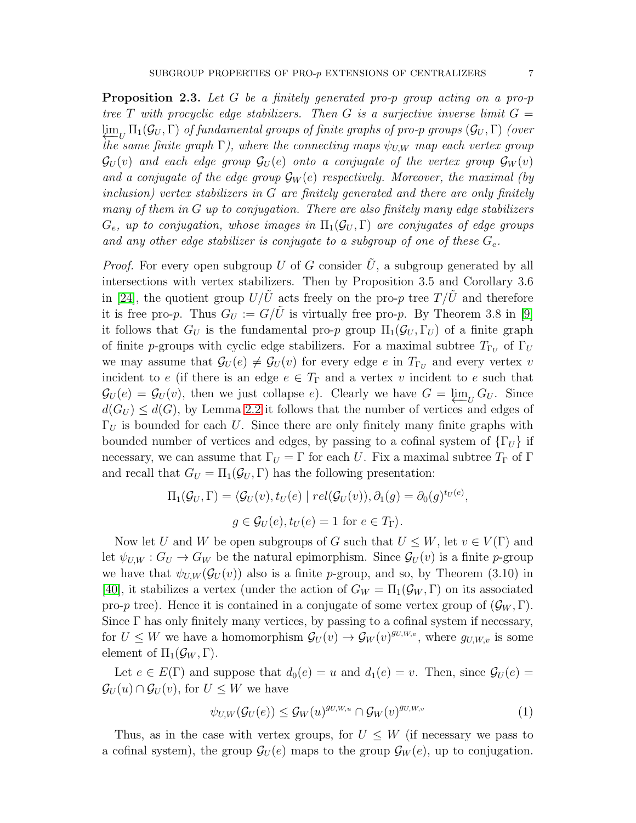<span id="page-6-0"></span>**Proposition 2.3.** Let G be a finitely generated pro-p group acting on a pro-p tree T with procyclic edge stabilizers. Then G is a surjective inverse limit  $G =$  $\varprojlim_U \Pi_1(\mathcal{G}_U, \Gamma)$  of fundamental groups of finite graphs of pro-p groups  $(\mathcal{G}_U, \Gamma)$  (over the same finite graph  $\Gamma$ ), where the connecting maps  $\psi_{U,W}$  map each vertex group  $\mathcal{G}_{U}(v)$  and each edge group  $\mathcal{G}_{U}(e)$  onto a conjugate of the vertex group  $\mathcal{G}_{W}(v)$ and a conjugate of the edge group  $\mathcal{G}_W(e)$  respectively. Moreover, the maximal (by inclusion) vertex stabilizers in G are finitely generated and there are only finitely many of them in G up to conjugation. There are also finitely many edge stabilizers  $G_e$ , up to conjugation, whose images in  $\Pi_1(\mathcal{G}_U, \Gamma)$  are conjugates of edge groups and any other edge stabilizer is conjugate to a subgroup of one of these  $G_e$ .

*Proof.* For every open subgroup  $U$  of  $G$  consider  $U$ , a subgroup generated by all intersections with vertex stabilizers. Then by Proposition 3.5 and Corollary 3.6 in [\[24\]](#page-27-5), the quotient group  $U/U$  acts freely on the pro-p tree  $T/U$  and therefore it is free pro-p. Thus  $G_U := G/\tilde{U}$  is virtually free pro-p. By Theorem 3.8 in [\[9\]](#page-26-1) it follows that  $G_U$  is the fundamental pro-p group  $\Pi_1(\mathcal{G}_U, \Gamma_U)$  of a finite graph of finite *p*-groups with cyclic edge stabilizers. For a maximal subtree  $T_{\Gamma_U}$  of  $\Gamma_U$ we may assume that  $\mathcal{G}_U(e) \neq \mathcal{G}_U(v)$  for every edge e in  $T_{\Gamma_U}$  and every vertex v incident to e (if there is an edge  $e \in T_{\Gamma}$  and a vertex v incident to e such that  $\mathcal{G}_U(e) = \mathcal{G}_U(v)$ , then we just collapse e). Clearly we have  $G = \varprojlim_U G_U$ . Since  $d(G_U) \leq d(G)$ , by Lemma [2.2](#page-5-0) it follows that the number of vertices and edges of  $\Gamma_U$  is bounded for each U. Since there are only finitely many finite graphs with bounded number of vertices and edges, by passing to a cofinal system of  $\{\Gamma_U\}$  if necessary, we can assume that  $\Gamma_U = \Gamma$  for each U. Fix a maximal subtree  $T_{\Gamma}$  of  $\Gamma$ and recall that  $G_U = \Pi_1(\mathcal{G}_U, \Gamma)$  has the following presentation:

$$
\Pi_1(\mathcal{G}_U, \Gamma) = \langle \mathcal{G}_U(v), t_U(e) \mid rel(\mathcal{G}_U(v)), \partial_1(g) = \partial_0(g)^{t_U(e)},
$$
  

$$
g \in \mathcal{G}_U(e), t_U(e) = 1 \text{ for } e \in T_{\Gamma} \rangle.
$$

Now let U and W be open subgroups of G such that  $U \leq W$ , let  $v \in V(\Gamma)$  and let  $\psi_{U,W}: G_U \to G_W$  be the natural epimorphism. Since  $\mathcal{G}_U(v)$  is a finite p-group we have that  $\psi_{U,W}(\mathcal{G}_U(v))$  also is a finite p-group, and so, by Theorem (3.10) in [\[40\]](#page-28-0), it stabilizes a vertex (under the action of  $G_W = \Pi_1(\mathcal{G}_W, \Gamma)$  on its associated pro-p tree). Hence it is contained in a conjugate of some vertex group of  $(\mathcal{G}_W, \Gamma)$ . Since  $\Gamma$  has only finitely many vertices, by passing to a cofinal system if necessary, for  $U \leq W$  we have a homomorphism  $\mathcal{G}_U(v) \to \mathcal{G}_W(v)^{g_{U,W,v}}$ , where  $g_{U,W,v}$  is some element of  $\Pi_1(\mathcal{G}_W, \Gamma)$ .

Let  $e \in E(\Gamma)$  and suppose that  $d_0(e) = u$  and  $d_1(e) = v$ . Then, since  $\mathcal{G}_U(e) =$  $\mathcal{G}_U(u) \cap \mathcal{G}_U(v)$ , for  $U \leq W$  we have

$$
\psi_{U,W}(\mathcal{G}_U(e)) \le \mathcal{G}_W(u)^{g_{U,W,u}} \cap \mathcal{G}_W(v)^{g_{U,W,v}} \tag{1}
$$

Thus, as in the case with vertex groups, for  $U \leq W$  (if necessary we pass to a cofinal system), the group  $\mathcal{G}_U(e)$  maps to the group  $\mathcal{G}_W(e)$ , up to conjugation.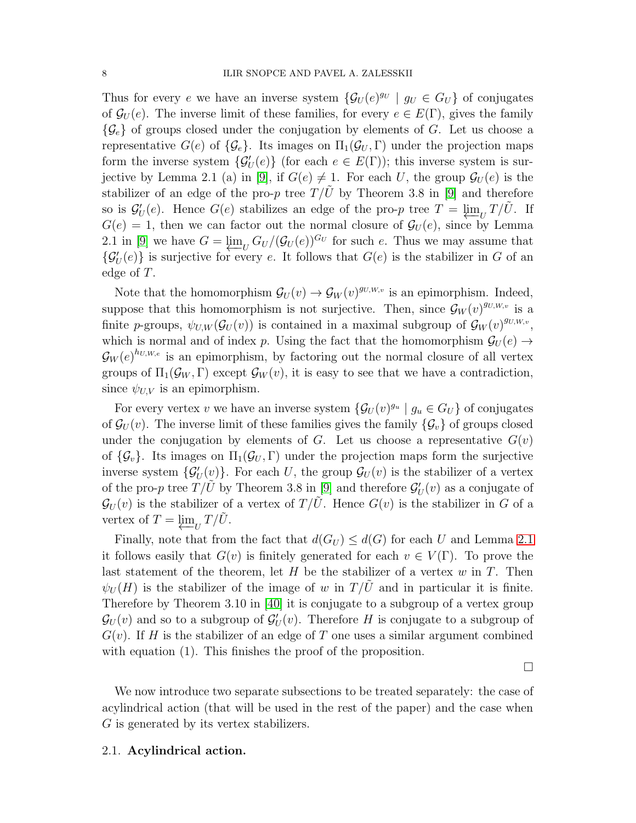Thus for every e we have an inverse system  $\{\mathcal{G}_U(e)^{g_U} \mid g_U \in G_U\}$  of conjugates of  $\mathcal{G}_U(e)$ . The inverse limit of these families, for every  $e \in E(\Gamma)$ , gives the family  $\{\mathcal{G}_{e}\}\$  of groups closed under the conjugation by elements of G. Let us choose a representative  $G(e)$  of  $\{\mathcal{G}_e\}$ . Its images on  $\Pi_1(\mathcal{G}_U, \Gamma)$  under the projection maps form the inverse system  $\{\mathcal{G}'_U(e)\}\$  (for each  $e \in E(\Gamma)$ ); this inverse system is sur-jective by Lemma 2.1 (a) in [\[9\]](#page-26-1), if  $G(e) \neq 1$ . For each U, the group  $\mathcal{G}_U(e)$  is the stabilizer of an edge of the pro-p tree  $T/U$  by Theorem 3.8 in [\[9\]](#page-26-1) and therefore so is  $\mathcal{G}'_U(e)$ . Hence  $G(e)$  stabilizes an edge of the pro-p tree  $T = \varprojlim_U T/\tilde{U}$ . If  $G(e) = 1$ , then we can factor out the normal closure of  $\mathcal{G}_U(e)$ , since by Lemma 2.1 in [\[9\]](#page-26-1) we have  $G = \varprojlim_{U} G_{U} / (G_{U}(e))^{G_{U}}$  for such e. Thus we may assume that  $\{\mathcal{G}'_U(e)\}\$ is surjective for every e. It follows that  $G(e)$  is the stabilizer in G of an edge of T.

Note that the homomorphism  $\mathcal{G}_U(v) \to \mathcal{G}_W(v)^{g_{U,W,v}}$  is an epimorphism. Indeed, suppose that this homomorphism is not surjective. Then, since  $\mathcal{G}_W(v)^{g_{U,W,v}}$  is a finite p-groups,  $\psi_{U,W}(\mathcal{G}_U(v))$  is contained in a maximal subgroup of  $\mathcal{G}_W(v)^{g_{U,W,v}}$ , which is normal and of index p. Using the fact that the homomorphism  $\mathcal{G}_U(e) \rightarrow$  $\mathcal{G}_{W}(e)^{h_{U,W,e}}$  is an epimorphism, by factoring out the normal closure of all vertex groups of  $\Pi_1(\mathcal{G}_W, \Gamma)$  except  $\mathcal{G}_W(v)$ , it is easy to see that we have a contradiction, since  $\psi_{U,V}$  is an epimorphism.

For every vertex v we have an inverse system  $\{\mathcal{G}_U(v)^{g_u} \mid g_u \in G_U\}$  of conjugates of  $\mathcal{G}_U(v)$ . The inverse limit of these families gives the family  $\{\mathcal{G}_v\}$  of groups closed under the conjugation by elements of G. Let us choose a representative  $G(v)$ of  $\{\mathcal{G}_v\}$ . Its images on  $\Pi_1(\mathcal{G}_U, \Gamma)$  under the projection maps form the surjective inverse system  $\{\mathcal{G}'_U(v)\}$ . For each U, the group  $\mathcal{G}_U(v)$  is the stabilizer of a vertex of the pro-p tree  $T/\tilde{U}$  by Theorem 3.8 in [\[9\]](#page-26-1) and therefore  $\mathcal{G}'_U(v)$  as a conjugate of  $\mathcal{G}_{U}(v)$  is the stabilizer of a vertex of  $T/\tilde{U}$ . Hence  $G(v)$  is the stabilizer in G of a vertex of  $T = \varprojlim_U T/\tilde{U}$ .

Finally, note that from the fact that  $d(G_U) \leq d(G)$  for each U and Lemma [2.1](#page-4-0) it follows easily that  $G(v)$  is finitely generated for each  $v \in V(\Gamma)$ . To prove the last statement of the theorem, let H be the stabilizer of a vertex  $w$  in T. Then  $\psi_U(H)$  is the stabilizer of the image of w in  $T/U$  and in particular it is finite. Therefore by Theorem 3.10 in [\[40\]](#page-28-0) it is conjugate to a subgroup of a vertex group  $\mathcal{G}_{U}(v)$  and so to a subgroup of  $\mathcal{G}'_{U}(v)$ . Therefore H is conjugate to a subgroup of  $G(v)$ . If H is the stabilizer of an edge of T one uses a similar argument combined with equation (1). This finishes the proof of the proposition.

 $\Box$ 

We now introduce two separate subsections to be treated separately: the case of acylindrical action (that will be used in the rest of the paper) and the case when G is generated by its vertex stabilizers.

### 2.1. Acylindrical action.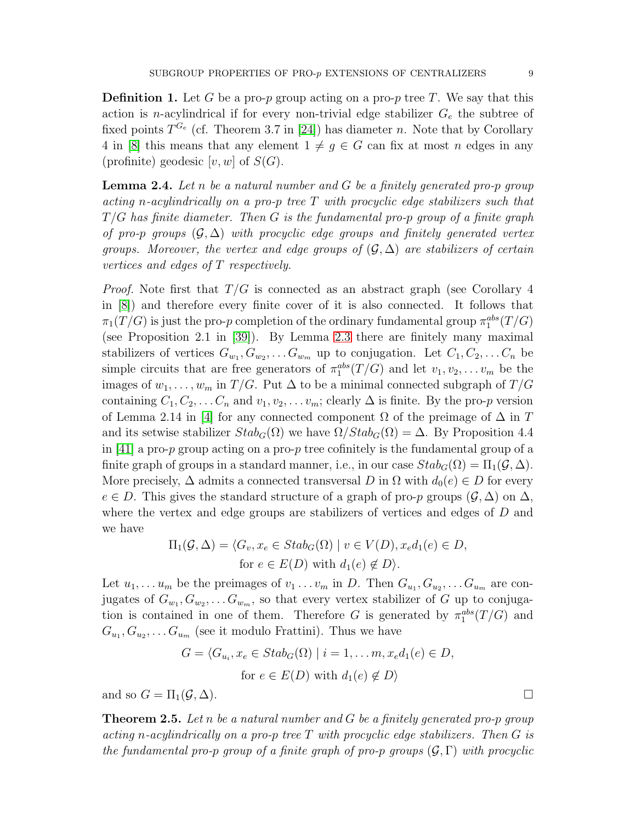**Definition 1.** Let G be a pro-p group acting on a pro-p tree T. We say that this action is *n*-acylindrical if for every non-trivial edge stabilizer  $G_e$  the subtree of fixed points  $T^{G_e}$  (cf. Theorem 3.7 in [\[24\]](#page-27-5)) has diameter n. Note that by Corollary 4 in [\[8\]](#page-26-5) this means that any element  $1 \neq g \in G$  can fix at most n edges in any (profinite) geodesic  $[v, w]$  of  $S(G)$ .

<span id="page-8-0"></span>**Lemma 2.4.** Let n be a natural number and  $G$  be a finitely generated pro-p group acting n-acylindrically on a pro-p tree  $T$  with procyclic edge stabilizers such that  $T/G$  has finite diameter. Then G is the fundamental pro-p group of a finite graph of pro-p groups  $(\mathcal{G}, \Delta)$  with procyclic edge groups and finitely generated vertex groups. Moreover, the vertex and edge groups of  $(\mathcal{G}, \Delta)$  are stabilizers of certain vertices and edges of T respectively.

*Proof.* Note first that  $T/G$  is connected as an abstract graph (see Corollary 4) in [\[8\]](#page-26-5)) and therefore every finite cover of it is also connected. It follows that  $\pi_1(T/G)$  is just the pro-p completion of the ordinary fundamental group  $\pi_1^{abs}(T/G)$ (see Proposition 2.1 in [\[39\]](#page-27-7)). By Lemma [2.3](#page-6-0) there are finitely many maximal stabilizers of vertices  $G_{w_1}, G_{w_2}, \ldots G_{w_m}$  up to conjugation. Let  $C_1, C_2, \ldots C_n$  be simple circuits that are free generators of  $\pi_1^{abs}(T/G)$  and let  $v_1, v_2, \ldots v_m$  be the images of  $w_1, \ldots, w_m$  in  $T/G$ . Put  $\Delta$  to be a minimal connected subgraph of  $T/G$ containing  $C_1, C_2, \ldots C_n$  and  $v_1, v_2, \ldots v_m$ ; clearly  $\Delta$  is finite. By the pro-p version of Lemma 2.14 in [\[4\]](#page-26-6) for any connected component  $\Omega$  of the preimage of  $\Delta$  in T and its setwise stabilizer  $Stab_G(\Omega)$  we have  $\Omega/Stab_G(\Omega) = \Delta$ . By Proposition 4.4 in  $|41|$  a pro-p group acting on a pro-p tree cofinitely is the fundamental group of a finite graph of groups in a standard manner, i.e., in our case  $Stab_G(\Omega) = \Pi_1(\mathcal{G}, \Delta)$ . More precisely,  $\Delta$  admits a connected transversal D in  $\Omega$  with  $d_0(e) \in D$  for every  $e \in D$ . This gives the standard structure of a graph of pro-p groups  $(\mathcal{G}, \Delta)$  on  $\Delta$ , where the vertex and edge groups are stabilizers of vertices and edges of D and we have

$$
\Pi_1(\mathcal{G}, \Delta) = \langle G_v, x_e \in Stab_G(\Omega) \mid v \in V(D), x_e d_1(e) \in D,
$$
  
for  $e \in E(D)$  with  $d_1(e) \notin D$ .

Let  $u_1, \ldots u_m$  be the preimages of  $v_1 \ldots v_m$  in D. Then  $G_{u_1}, G_{u_2}, \ldots G_{u_m}$  are conjugates of  $G_{w_1}, G_{w_2}, \ldots G_{w_m}$ , so that every vertex stabilizer of G up to conjugation is contained in one of them. Therefore G is generated by  $\pi_1^{abs}(T/G)$  and  $G_{u_1}, G_{u_2}, \ldots G_{u_m}$  (see it modulo Frattini). Thus we have

$$
G = \langle G_{u_i}, x_e \in Stab_G(\Omega) \mid i = 1, \dots m, x_e d_1(e) \in D,
$$
  
for  $e \in E(D)$  with  $d_1(e) \notin D$   
and so  $G = \Pi_1(\mathcal{G}, \Delta)$ .

<span id="page-8-1"></span>**Theorem 2.5.** Let n be a natural number and  $G$  be a finitely generated pro-p group acting n-acylindrically on a pro-p tree  $T$  with procyclic edge stabilizers. Then  $G$  is the fundamental pro-p group of a finite graph of pro-p groups  $(G, \Gamma)$  with procyclic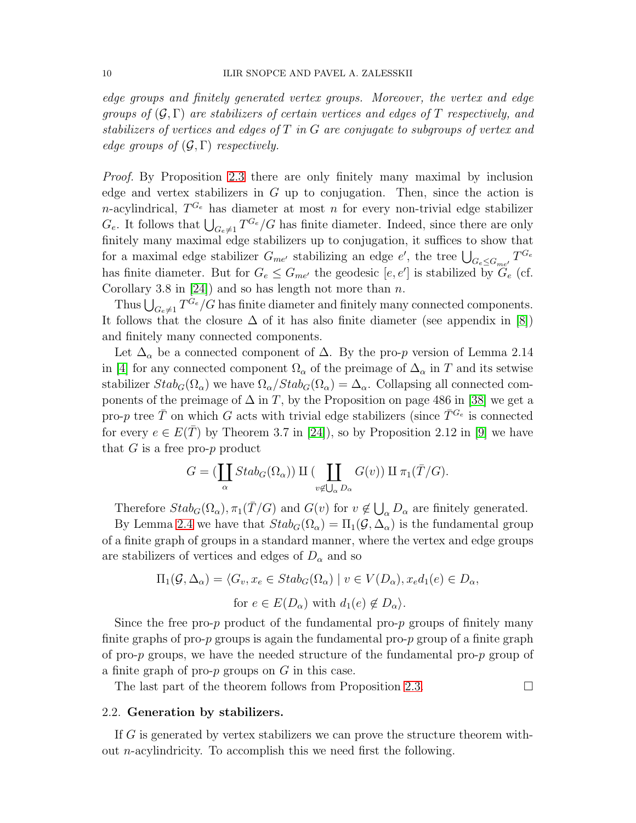edge groups and finitely generated vertex groups. Moreover, the vertex and edge groups of  $(\mathcal{G}, \Gamma)$  are stabilizers of certain vertices and edges of T respectively, and stabilizers of vertices and edges of T in G are conjugate to subgroups of vertex and edge groups of  $(\mathcal{G}, \Gamma)$  respectively.

Proof. By Proposition [2.3](#page-6-0) there are only finitely many maximal by inclusion edge and vertex stabilizers in  $G$  up to conjugation. Then, since the action is *n*-acylindrical,  $T^{G_e}$  has diameter at most *n* for every non-trivial edge stabilizer  $G_e$ . It follows that  $\bigcup_{G_e \neq 1} T^{G_e}/G$  has finite diameter. Indeed, since there are only finitely many maximal edge stabilizers up to conjugation, it suffices to show that for a maximal edge stabilizer  $G_{me'}$  stabilizing an edge e', the tree  $\bigcup_{G_e \leq G_{me'}} T^{G_e}$ has finite diameter. But for  $G_e \leq G_{me'}$  the geodesic  $[e, e']$  is stabilized by  $\widetilde{G}_e$  (cf. Corollary 3.8 in [\[24\]](#page-27-5)) and so has length not more than  $n$ .

Thus  $\bigcup_{G_e \neq 1} T^{G_e}/G$  has finite diameter and finitely many connected components. It follows that the closure  $\Delta$  of it has also finite diameter (see appendix in [\[8\]](#page-26-5)) and finitely many connected components.

Let  $\Delta_{\alpha}$  be a connected component of  $\Delta$ . By the pro-p version of Lemma 2.14 in [\[4\]](#page-26-6) for any connected component  $\Omega_{\alpha}$  of the preimage of  $\Delta_{\alpha}$  in T and its setwise stabilizer  $Stab_G(\Omega_\alpha)$  we have  $\Omega_\alpha/Stab_G(\Omega_\alpha) = \Delta_\alpha$ . Collapsing all connected components of the preimage of  $\Delta$  in T, by the Proposition on page 486 in [\[38\]](#page-27-8) we get a pro-p tree  $\bar{T}$  on which G acts with trivial edge stabilizers (since  $\bar{T}^{G_e}$  is connected for every  $e \in E(\overline{T})$  by Theorem 3.7 in [\[24\]](#page-27-5)), so by Proposition 2.12 in [\[9\]](#page-26-1) we have that  $G$  is a free pro- $p$  product

$$
G = (\coprod_{\alpha} Stab_G(\Omega_{\alpha})) \amalg (\coprod_{v \notin \bigcup_{\alpha} D_{\alpha}} G(v)) \amalg \pi_1(\overline{T}/G).
$$

Therefore  $Stab_G(\Omega_\alpha)$ ,  $\pi_1(\overline{T}/G)$  and  $G(v)$  for  $v \notin \bigcup_{\alpha} D_{\alpha}$  are finitely generated.

By Lemma [2.4](#page-8-0) we have that  $Stab_G(\Omega_\alpha) = \Pi_1(\mathcal{G}, \Delta_\alpha)$  is the fundamental group of a finite graph of groups in a standard manner, where the vertex and edge groups are stabilizers of vertices and edges of  $D_{\alpha}$  and so

$$
\Pi_1(\mathcal{G}, \Delta_\alpha) = \langle G_v, x_e \in Stab_G(\Omega_\alpha) \mid v \in V(D_\alpha), x_e d_1(e) \in D_\alpha,
$$
  
for  $e \in E(D_\alpha)$  with  $d_1(e) \notin D_\alpha$ .

Since the free pro-p product of the fundamental pro-p groups of finitely many finite graphs of pro-p groups is again the fundamental pro-p group of a finite graph of pro-p groups, we have the needed structure of the fundamental pro-p group of a finite graph of pro- $p$  groups on  $G$  in this case.

The last part of the theorem follows from Proposition [2.3.](#page-6-0)  $\Box$ 

#### 2.2. Generation by stabilizers.

If G is generated by vertex stabilizers we can prove the structure theorem without n-acylindricity. To accomplish this we need first the following.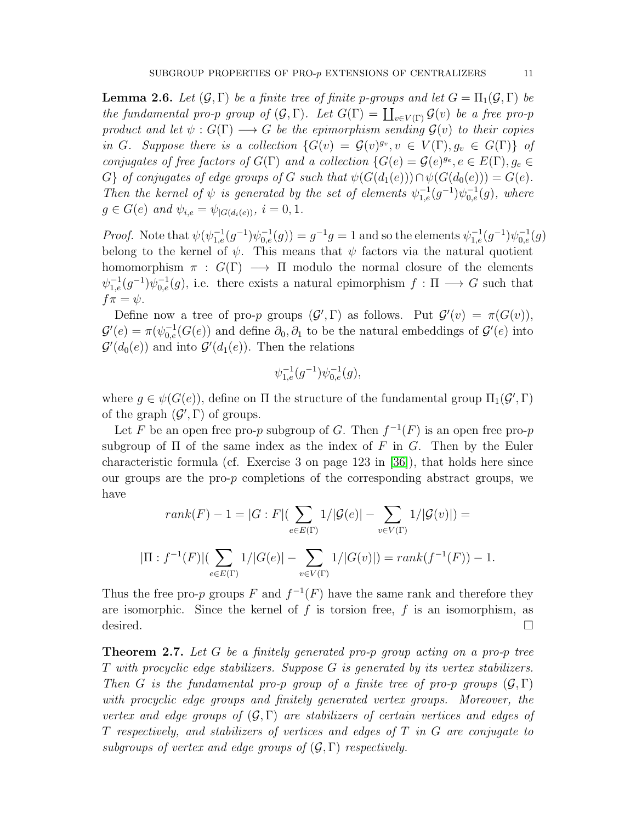<span id="page-10-0"></span>**Lemma 2.6.** Let  $(\mathcal{G}, \Gamma)$  be a finite tree of finite p-groups and let  $G = \Pi_1(\mathcal{G}, \Gamma)$  be the fundamental pro-p group of  $(\mathcal{G}, \Gamma)$ . Let  $G(\Gamma) = \coprod_{v \in V(\Gamma)} \mathcal{G}(v)$  be a free pro-p product and let  $\psi: G(\Gamma) \longrightarrow G$  be the epimorphism sending  $\mathcal{G}(v)$  to their copies in G. Suppose there is a collection  $\{G(v) = \mathcal{G}(v)^{g_v}, v \in V(\Gamma), g_v \in G(\Gamma)\}\$  of conjugates of free factors of  $G(\Gamma)$  and a collection  $\{G(e) = \mathcal{G}(e)^{g_e}, e \in E(\Gamma), g_e \in E(\Gamma)\}$ G} of conjugates of edge groups of G such that  $\psi(G(d_1(e))) \cap \psi(G(d_0(e))) = G(e)$ . Then the kernel of  $\psi$  is generated by the set of elements  $\psi_{1,e}^{-1}(g^{-1})\psi_{0,e}^{-1}(g)$ , where  $g \in G(e)$  and  $\psi_{i,e} = \psi_{|G(d_i(e))}$ ,  $i = 0, 1$ .

*Proof.* Note that  $\psi(\psi_{1,e}^{-1}(g^{-1})\psi_{0,e}^{-1}(g)) = g^{-1}g = 1$  and so the elements  $\psi_{1,e}^{-1}(g^{-1})\psi_{0,e}^{-1}(g)$ belong to the kernel of  $\psi$ . This means that  $\psi$  factors via the natural quotient homomorphism  $\pi : G(\Gamma) \longrightarrow \Pi$  modulo the normal closure of the elements  $\psi_{1,e}^{-1}(g^{-1})\psi_{0,e}^{-1}(g)$ , i.e. there exists a natural epimorphism  $f: \Pi \longrightarrow G$  such that  $f\pi=\psi.$ 

Define now a tree of pro-p groups  $(\mathcal{G}', \Gamma)$  as follows. Put  $\mathcal{G}'(v) = \pi(G(v)),$  $\mathcal{G}'(e) = \pi(\psi_{0,e}^{-1}(G(e))$  and define  $\partial_0, \partial_1$  to be the natural embeddings of  $\mathcal{G}'(e)$  into  $\mathcal{G}'(d_0(e))$  and into  $\mathcal{G}'(d_1(e))$ . Then the relations

$$
\psi_{1,e}^{-1}(g^{-1})\psi_{0,e}^{-1}(g),
$$

where  $g \in \psi(G(e))$ , define on  $\Pi$  the structure of the fundamental group  $\Pi_1(\mathcal{G}', \Gamma)$ of the graph  $(\mathcal{G}', \Gamma)$  of groups.

Let F be an open free pro-p subgroup of G. Then  $f^{-1}(F)$  is an open free pro-p subgroup of  $\Pi$  of the same index as the index of F in G. Then by the Euler characteristic formula (cf. Exercise 3 on page 123 in [\[36\]](#page-27-9)), that holds here since our groups are the pro- $p$  completions of the corresponding abstract groups, we have

$$
rank(F) - 1 = |G : F|(\sum_{e \in E(\Gamma)} 1/|\mathcal{G}(e)| - \sum_{v \in V(\Gamma)} 1/|\mathcal{G}(v)|) =
$$
  

$$
|\Pi : f^{-1}(F)|(\sum_{e \in E(\Gamma)} 1/|G(e)| - \sum_{v \in V(\Gamma)} 1/|G(v)|) = rank(f^{-1}(F)) - 1.
$$

Thus the free pro-p groups F and  $f^{-1}(F)$  have the same rank and therefore they are isomorphic. Since the kernel of  $f$  is torsion free,  $f$  is an isomorphism, as desired.  $\Box$ 

**Theorem 2.7.** Let G be a finitely generated pro-p group acting on a pro-p tree T with procyclic edge stabilizers. Suppose G is generated by its vertex stabilizers. Then G is the fundamental pro-p group of a finite tree of pro-p groups  $(\mathcal{G}, \Gamma)$ with procyclic edge groups and finitely generated vertex groups. Moreover, the vertex and edge groups of  $(\mathcal{G}, \Gamma)$  are stabilizers of certain vertices and edges of T respectively, and stabilizers of vertices and edges of  $T$  in  $G$  are conjugate to subgroups of vertex and edge groups of  $(\mathcal{G}, \Gamma)$  respectively.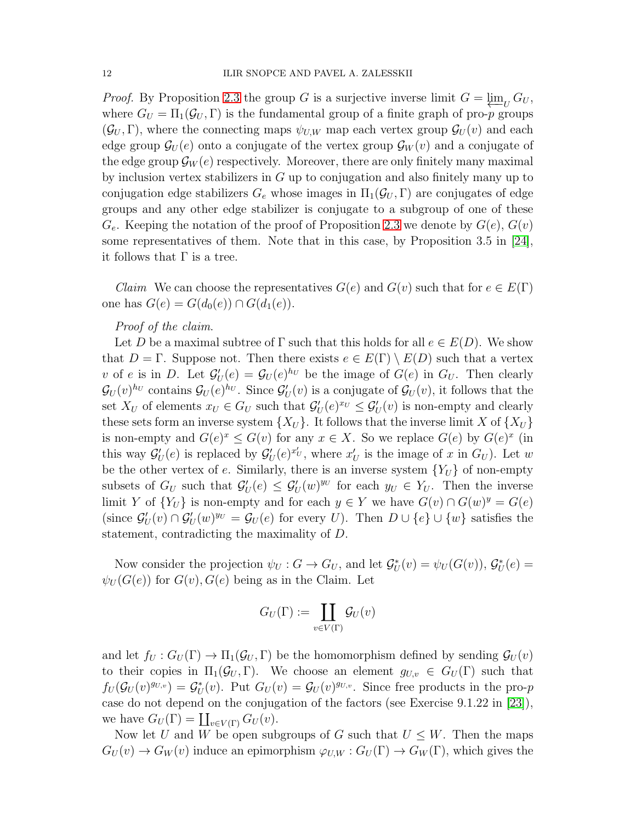*Proof.* By Proposition [2.3](#page-6-0) the group G is a surjective inverse limit  $G = \varprojlim_U G_U$ , where  $G_U = \Pi_1(\mathcal{G}_U, \Gamma)$  is the fundamental group of a finite graph of pro-p groups  $(\mathcal{G}_U, \Gamma)$ , where the connecting maps  $\psi_{U,W}$  map each vertex group  $\mathcal{G}_U(v)$  and each edge group  $\mathcal{G}_U(e)$  onto a conjugate of the vertex group  $\mathcal{G}_W(v)$  and a conjugate of the edge group  $\mathcal{G}_W(e)$  respectively. Moreover, there are only finitely many maximal by inclusion vertex stabilizers in G up to conjugation and also finitely many up to conjugation edge stabilizers  $G_e$  whose images in  $\Pi_1(\mathcal{G}_U, \Gamma)$  are conjugates of edge groups and any other edge stabilizer is conjugate to a subgroup of one of these  $G_e$ . Keeping the notation of the proof of Proposition [2.3](#page-6-0) we denote by  $G(e)$ ,  $G(v)$ some representatives of them. Note that in this case, by Proposition 3.5 in [\[24\]](#page-27-5), it follows that  $\Gamma$  is a tree.

*Claim* We can choose the representatives  $G(e)$  and  $G(v)$  such that for  $e \in E(\Gamma)$ one has  $G(e) = G(d_0(e)) \cap G(d_1(e))$ .

# Proof of the claim.

Let D be a maximal subtree of  $\Gamma$  such that this holds for all  $e \in E(D)$ . We show that  $D = \Gamma$ . Suppose not. Then there exists  $e \in E(\Gamma) \setminus E(D)$  such that a vertex v of e is in D. Let  $\mathcal{G}'_U(e) = \mathcal{G}_U(e)^{h_U}$  be the image of  $G(e)$  in  $G_U$ . Then clearly  $\mathcal{G}_U(v)^{h_U}$  contains  $\mathcal{G}_U(e)^{h_U}$ . Since  $\mathcal{G}'_U(v)$  is a conjugate of  $\mathcal{G}_U(v)$ , it follows that the set  $X_U$  of elements  $x_U \in G_U$  such that  $\mathcal{G}'_U(e)^{x_U} \leq \mathcal{G}'_U(v)$  is non-empty and clearly these sets form an inverse system  $\{X_U\}$ . It follows that the inverse limit X of  $\{X_U\}$ is non-empty and  $G(e)^x \leq G(v)$  for any  $x \in X$ . So we replace  $G(e)$  by  $G(e)^x$  (in this way  $\mathcal{G}'_U(e)$  is replaced by  $\mathcal{G}'_U(e)^{x'_U}$ , where  $x'_U$  is the image of x in  $G_U$ ). Let w be the other vertex of e. Similarly, there is an inverse system  ${Y_U}$  of non-empty subsets of  $G_U$  such that  $\mathcal{G}'_U(e) \leq \mathcal{G}'_U(w)^{y_U}$  for each  $y_U \in Y_U$ . Then the inverse limit Y of  $\{Y_U\}$  is non-empty and for each  $y \in Y$  we have  $G(v) \cap G(w)^y = G(e)$ (since  $\mathcal{G}'_U(v) \cap \mathcal{G}'_U(w)^{y_U} = \mathcal{G}_U(e)$  for every U). Then  $D \cup \{e\} \cup \{w\}$  satisfies the statement, contradicting the maximality of D.

Now consider the projection  $\psi_U : G \to G_U$ , and let  $\mathcal{G}_U^*(v) = \psi_U(G(v))$ ,  $\mathcal{G}_U^*(e) =$  $\psi_U(G(e))$  for  $G(v)$ ,  $G(e)$  being as in the Claim. Let

$$
G_U(\Gamma):=\coprod_{v\in V(\Gamma)}\mathcal{G}_U(v)
$$

and let  $f_U: G_U(\Gamma) \to \Pi_1(\mathcal{G}_U, \Gamma)$  be the homomorphism defined by sending  $\mathcal{G}_U(v)$ to their copies in  $\Pi_1(\mathcal{G}_U, \Gamma)$ . We choose an element  $g_{U,v} \in G_U(\Gamma)$  such that  $f_U(\mathcal{G}_U(v)^{g_{U,v}}) = \mathcal{G}_U^*(v)$ . Put  $G_U(v) = \mathcal{G}_U(v)^{g_{U,v}}$ . Since free products in the pro-p case do not depend on the conjugation of the factors (see Exercise 9.1.22 in [\[23\]](#page-27-6)), we have  $G_U(\Gamma) = \coprod_{v \in V(\Gamma)} G_U(v)$ .

Now let U and W be open subgroups of G such that  $U \leq W$ . Then the maps  $G_U(v) \to G_W(v)$  induce an epimorphism  $\varphi_{U,W} : G_U(\Gamma) \to G_W(\Gamma)$ , which gives the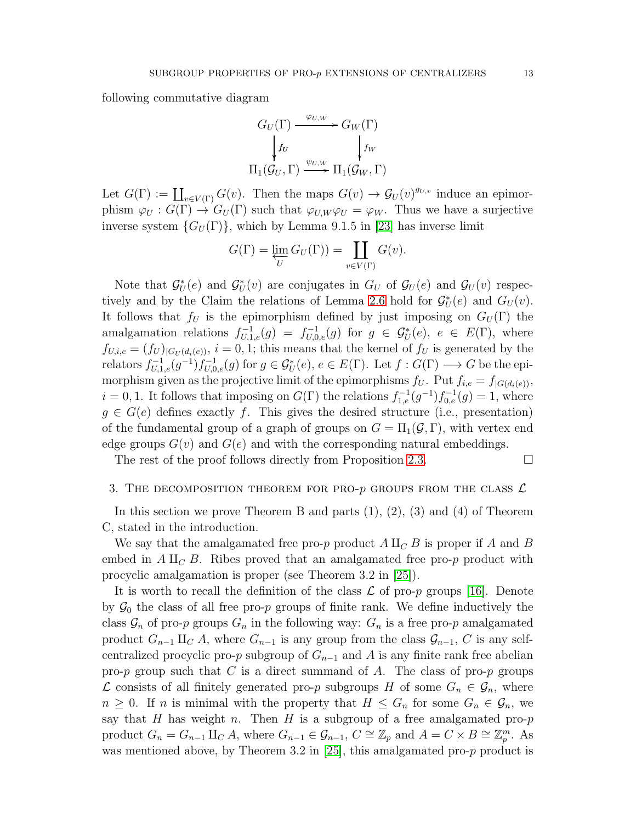following commutative diagram

$$
G_U(\Gamma) \xrightarrow{\varphi_{U,W}} G_W(\Gamma)
$$
  

$$
\downarrow f_U \qquad \qquad \downarrow f_W
$$
  

$$
\Pi_1(\mathcal{G}_U, \Gamma) \xrightarrow{\psi_{U,W}} \Pi_1(\mathcal{G}_W, \Gamma)
$$

Let  $G(\Gamma) := \coprod_{v \in V(\Gamma)} G(v)$ . Then the maps  $G(v) \to \mathcal{G}_U(v)^{g_{U,v}}$  induce an epimorphism  $\varphi_U : G(\Gamma) \to G_U(\Gamma)$  such that  $\varphi_{U,W}\varphi_U = \varphi_W$ . Thus we have a surjective inverse system  $\{G_U(\Gamma)\}\$ , which by Lemma 9.1.5 in [\[23\]](#page-27-6) has inverse limit

$$
G(\Gamma) = \varprojlim_{U} G_{U}(\Gamma) = \coprod_{v \in V(\Gamma)} G(v).
$$

Note that  $\mathcal{G}_U^*(e)$  and  $\mathcal{G}_U^*(v)$  are conjugates in  $G_U$  of  $\mathcal{G}_U(e)$  and  $\mathcal{G}_U(v)$  respec-tively and by the Claim the relations of Lemma [2.6](#page-10-0) hold for  $\mathcal{G}_{U}^{*}(e)$  and  $G_{U}(v)$ . It follows that  $f_U$  is the epimorphism defined by just imposing on  $G_U(\Gamma)$  the amalgamation relations  $f_{U,1,e}^{-1}(g) = f_{U,0,e}^{-1}(g)$  for  $g \in \mathcal{G}_U^*(e)$ ,  $e \in E(\Gamma)$ , where  $f_{U,i,e} = (f_U)_{|G_U(d_i(e))}$ ,  $i = 0, 1$ ; this means that the kernel of  $f_U$  is generated by the relators  $f_{U,1,e}^{-1}(g^{-1})f_{U,0,e}^{-1}(g)$  for  $g \in \mathcal{G}_U^*(e)$ ,  $e \in E(\Gamma)$ . Let  $f: G(\Gamma) \longrightarrow G$  be the epimorphism given as the projective limit of the epimorphisms  $f_U$ . Put  $f_{i,e} = f_{|G(d_i(e))}$ ,  $i = 0, 1$ . It follows that imposing on  $G(\Gamma)$  the relations  $f_{1,e}^{-1}(g^{-1})f_{0,e}^{-1}(g) = 1$ , where  $g \in G(e)$  defines exactly f. This gives the desired structure (i.e., presentation) of the fundamental group of a graph of groups on  $G = \Pi_1(\mathcal{G}, \Gamma)$ , with vertex end edge groups  $G(v)$  and  $G(e)$  and with the corresponding natural embeddings.

The rest of the proof follows directly from Proposition [2.3.](#page-6-0)  $\Box$ 

#### 3. THE DECOMPOSITION THEOREM FOR PRO- $p$  groups from the class  $\mathcal L$

In this section we prove Theorem B and parts  $(1), (2), (3)$  and  $(4)$  of Theorem C, stated in the introduction.

We say that the amalgamated free pro-p product  $A \amalg_C B$  is proper if A and B embed in  $A \amalg_{\mathcal{C}} B$ . Ribes proved that an amalgamated free pro-p product with procyclic amalgamation is proper (see Theorem 3.2 in [\[25\]](#page-27-10)).

It is worth to recall the definition of the class  $\mathcal L$  of pro-p groups [\[16\]](#page-27-0). Denote by  $\mathcal{G}_0$  the class of all free pro-p groups of finite rank. We define inductively the class  $\mathcal{G}_n$  of pro-p groups  $G_n$  in the following way:  $G_n$  is a free pro-p amalgamated product  $G_{n-1}$   $\amalg_C A$ , where  $G_{n-1}$  is any group from the class  $\mathcal{G}_{n-1}$ , C is any selfcentralized procyclic pro-p subgroup of  $G_{n-1}$  and A is any finite rank free abelian pro-p group such that C is a direct summand of A. The class of pro-p groups  $\mathcal L$  consists of all finitely generated pro-*p* subgroups *H* of some  $G_n$  ∈  $\mathcal G_n$ , where  $n \geq 0$ . If n is minimal with the property that  $H \leq G_n$  for some  $G_n \in \mathcal{G}_n$ , we say that H has weight n. Then H is a subgroup of a free amalgamated pro- $p$ product  $G_n = G_{n-1} \amalg_C A$ , where  $G_{n-1} \in \mathcal{G}_{n-1}$ ,  $C \cong \mathbb{Z}_p$  and  $A = C \times B \cong \mathbb{Z}_p^m$ . As was mentioned above, by Theorem 3.2 in [\[25\]](#page-27-10), this amalgamated pro-p product is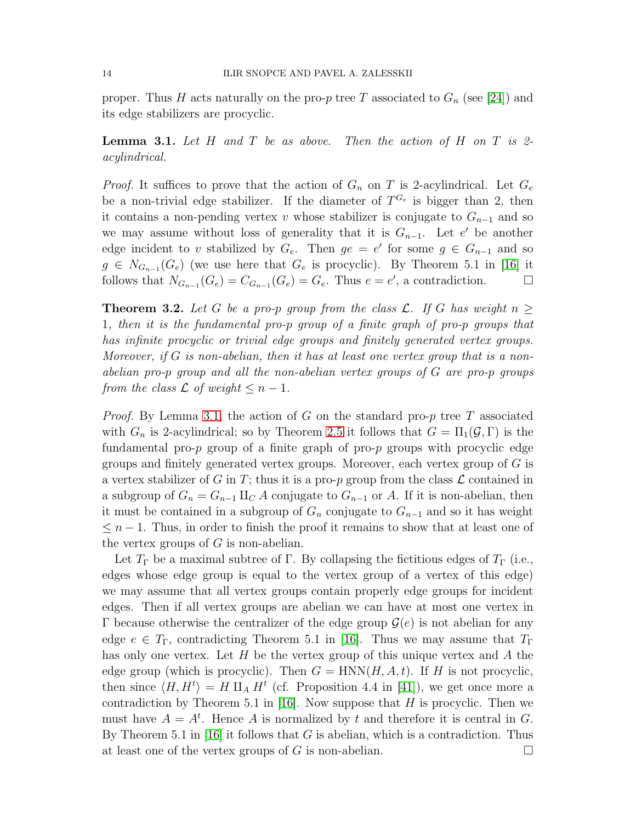proper. Thus H acts naturally on the pro-p tree T associated to  $G_n$  (see [\[24\]](#page-27-5)) and its edge stabilizers are procyclic.

<span id="page-13-0"></span>**Lemma 3.1.** Let H and T be as above. Then the action of H on T is 2acylindrical.

*Proof.* It suffices to prove that the action of  $G_n$  on T is 2-acylindrical. Let  $G_e$ be a non-trivial edge stabilizer. If the diameter of  $T^{G_e}$  is bigger than 2, then it contains a non-pending vertex v whose stabilizer is conjugate to  $G_{n-1}$  and so we may assume without loss of generality that it is  $G_{n-1}$ . Let e' be another edge incident to v stabilized by  $G_e$ . Then  $ge = e'$  for some  $g \in G_{n-1}$  and so  $g \in N_{G_{n-1}}(G_e)$  (we use here that  $G_e$  is procyclic). By Theorem 5.1 in [\[16\]](#page-27-0) it follows that  $N_{G_{n-1}}(G_e) = C_{G_{n-1}}(G_e) = G_e$ . Thus  $e = e'$ , a contradiction.  $\Box$ 

<span id="page-13-1"></span>**Theorem 3.2.** Let G be a pro-p group from the class L. If G has weight  $n \geq$ 1, then it is the fundamental pro-p group of a finite graph of pro-p groups that has infinite procyclic or trivial edge groups and finitely generated vertex groups. Moreover, if  $G$  is non-abelian, then it has at least one vertex group that is a nonabelian pro-p group and all the non-abelian vertex groups of G are pro-p groups from the class  $\mathcal L$  of weight  $\leq n-1$ .

*Proof.* By Lemma [3.1,](#page-13-0) the action of G on the standard pro-p tree T associated with  $G_n$  is 2-acylindrical; so by Theorem [2.5](#page-8-1) it follows that  $G = \Pi_1(\mathcal{G}, \Gamma)$  is the fundamental pro- $p$  group of a finite graph of pro- $p$  groups with procyclic edge groups and finitely generated vertex groups. Moreover, each vertex group of  $G$  is a vertex stabilizer of G in T; thus it is a pro-p group from the class  $\mathcal L$  contained in a subgroup of  $G_n = G_{n-1} \amalg_C A$  conjugate to  $G_{n-1}$  or A. If it is non-abelian, then it must be contained in a subgroup of  $G_n$  conjugate to  $G_{n-1}$  and so it has weight  $\leq n-1$ . Thus, in order to finish the proof it remains to show that at least one of the vertex groups of  $G$  is non-abelian.

Let  $T_{\Gamma}$  be a maximal subtree of  $\Gamma$ . By collapsing the fictitious edges of  $T_{\Gamma}$  (i.e., edges whose edge group is equal to the vertex group of a vertex of this edge) we may assume that all vertex groups contain properly edge groups for incident edges. Then if all vertex groups are abelian we can have at most one vertex in Γ because otherwise the centralizer of the edge group  $G(e)$  is not abelian for any edge  $e \in T_\Gamma$ , contradicting Theorem 5.1 in [\[16\]](#page-27-0). Thus we may assume that  $T_\Gamma$ has only one vertex. Let  $H$  be the vertex group of this unique vertex and  $A$  the edge group (which is procyclic). Then  $G = \text{HNN}(H, A, t)$ . If H is not procyclic, then since  $\langle H, H^t \rangle = H \amalg_A H^t$  (cf. Proposition 4.4 in [\[41\]](#page-28-1)), we get once more a contradiction by Theorem 5.1 in [\[16\]](#page-27-0). Now suppose that  $H$  is procyclic. Then we must have  $A = A^t$ . Hence A is normalized by t and therefore it is central in G. By Theorem 5.1 in [\[16\]](#page-27-0) it follows that G is abelian, which is a contradiction. Thus at least one of the vertex groups of G is non-abelian.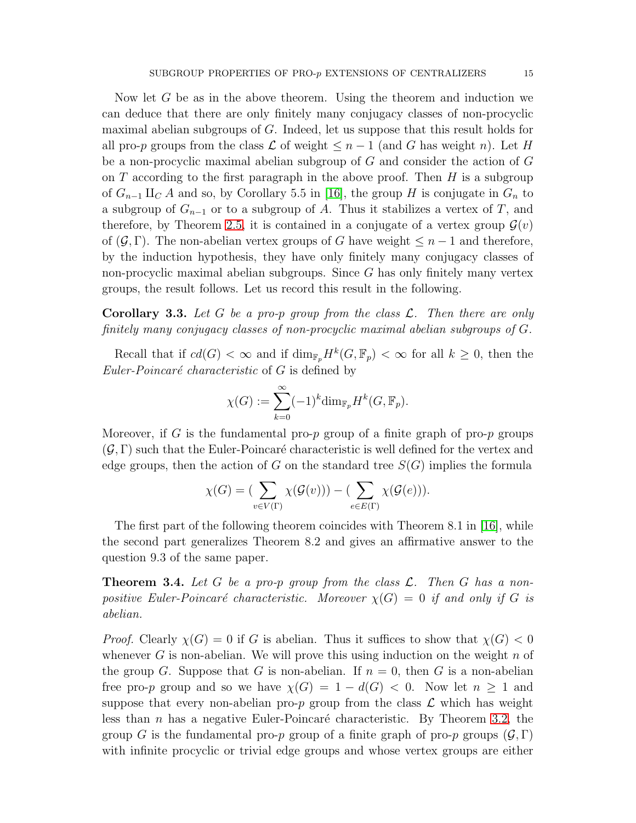Now let G be as in the above theorem. Using the theorem and induction we can deduce that there are only finitely many conjugacy classes of non-procyclic maximal abelian subgroups of G. Indeed, let us suppose that this result holds for all pro-p groups from the class  $\mathcal L$  of weight  $\leq n-1$  (and G has weight n). Let H be a non-procyclic maximal abelian subgroup of G and consider the action of G on T according to the first paragraph in the above proof. Then  $H$  is a subgroup of  $G_{n-1}$   $\amalg_C A$  and so, by Corollary 5.5 in [\[16\]](#page-27-0), the group H is conjugate in  $G_n$  to a subgroup of  $G_{n-1}$  or to a subgroup of A. Thus it stabilizes a vertex of T, and therefore, by Theorem [2.5,](#page-8-1) it is contained in a conjugate of a vertex group  $\mathcal{G}(v)$ of  $(\mathcal{G}, \Gamma)$ . The non-abelian vertex groups of G have weight  $\leq n-1$  and therefore, by the induction hypothesis, they have only finitely many conjugacy classes of non-procyclic maximal abelian subgroups. Since G has only finitely many vertex groups, the result follows. Let us record this result in the following.

**Corollary 3.3.** Let G be a pro-p group from the class  $\mathcal{L}$ . Then there are only finitely many conjugacy classes of non-procyclic maximal abelian subgroups of G.

Recall that if  $cd(G) < \infty$  and if  $\dim_{\mathbb{F}_p} H^k(G, \mathbb{F}_p) < \infty$  for all  $k \geq 0$ , then the Euler-Poincaré characteristic of  $G$  is defined by

$$
\chi(G) := \sum_{k=0}^{\infty} (-1)^k \dim_{\mathbb{F}_p} H^k(G, \mathbb{F}_p).
$$

Moreover, if G is the fundamental pro-p group of a finite graph of pro-p groups  $(\mathcal{G}, \Gamma)$  such that the Euler-Poincaré characteristic is well defined for the vertex and edge groups, then the action of G on the standard tree  $S(G)$  implies the formula

$$
\chi(G) = (\sum_{v \in V(\Gamma)} \chi(\mathcal{G}(v))) - (\sum_{e \in E(\Gamma)} \chi(\mathcal{G}(e))).
$$

The first part of the following theorem coincides with Theorem 8.1 in [\[16\]](#page-27-0), while the second part generalizes Theorem 8.2 and gives an affirmative answer to the question 9.3 of the same paper.

<span id="page-14-0"></span>**Theorem 3.4.** Let G be a pro-p group from the class  $\mathcal{L}$ . Then G has a nonpositive Euler-Poincaré characteristic. Moreover  $\chi(G) = 0$  if and only if G is abelian.

*Proof.* Clearly  $\chi(G) = 0$  if G is abelian. Thus it suffices to show that  $\chi(G) < 0$ whenever G is non-abelian. We will prove this using induction on the weight  $n$  of the group G. Suppose that G is non-abelian. If  $n = 0$ , then G is a non-abelian free pro-p group and so we have  $\chi(G) = 1 - d(G) < 0$ . Now let  $n > 1$  and suppose that every non-abelian pro- $p$  group from the class  $\mathcal L$  which has weight less than  $n$  has a negative Euler-Poincaré characteristic. By Theorem [3.2,](#page-13-1) the group G is the fundamental pro-p group of a finite graph of pro-p groups  $(\mathcal{G}, \Gamma)$ with infinite procyclic or trivial edge groups and whose vertex groups are either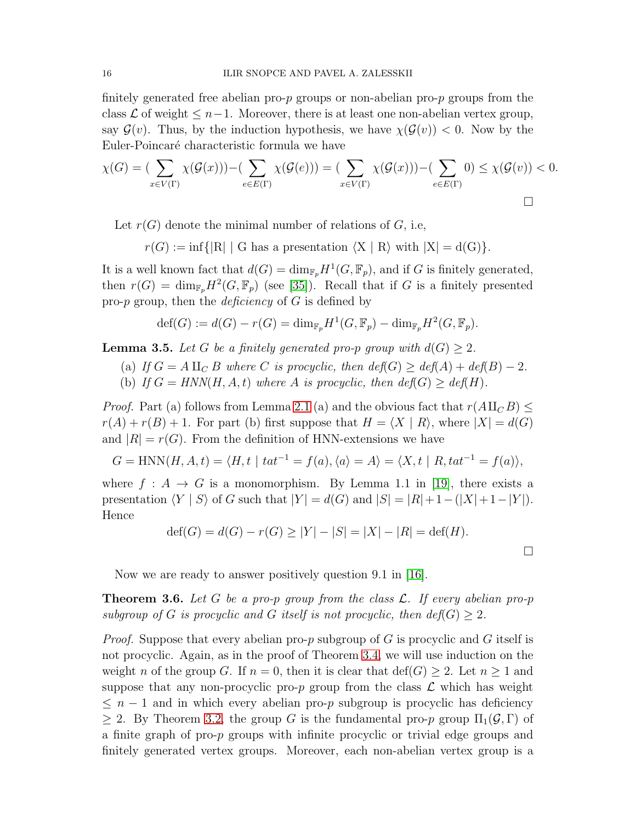finitely generated free abelian pro- $p$  groups or non-abelian pro- $p$  groups from the class  $\mathcal L$  of weight  $\leq n-1$ . Moreover, there is at least one non-abelian vertex group, say  $\mathcal{G}(v)$ . Thus, by the induction hypothesis, we have  $\chi(\mathcal{G}(v)) < 0$ . Now by the Euler-Poincaré characteristic formula we have

$$
\chi(G) = \left(\sum_{x \in V(\Gamma)} \chi(\mathcal{G}(x))\right) - \left(\sum_{e \in E(\Gamma)} \chi(\mathcal{G}(e))\right) = \left(\sum_{x \in V(\Gamma)} \chi(\mathcal{G}(x))\right) - \left(\sum_{e \in E(\Gamma)} 0\right) \le \chi(\mathcal{G}(v)) < 0.
$$

Let  $r(G)$  denote the minimal number of relations of G, i.e,

 $r(G) := \inf\{|R| | G$  has a presentation  $\langle X | R \rangle$  with  $|X| = d(G)\}.$ 

It is a well known fact that  $d(G) = \dim_{\mathbb{F}_p} H^1(G, \mathbb{F}_p)$ , and if G is finitely generated, then  $r(G) = \dim_{\mathbb{F}_p} H^2(G, \mathbb{F}_p)$  (see [\[35\]](#page-27-11)). Recall that if G is a finitely presented pro-p group, then the *deficiency* of  $G$  is defined by

$$
\operatorname{def}(G) := d(G) - r(G) = \dim_{\mathbb{F}_p} H^1(G, \mathbb{F}_p) - \dim_{\mathbb{F}_p} H^2(G, \mathbb{F}_p).
$$

<span id="page-15-0"></span>**Lemma 3.5.** Let G be a finitely generated pro-p group with  $d(G) > 2$ .

- (a) If  $G = A \amalg_C B$  where C is procyclic, then  $\text{def}(G) \geq \text{def}(A) + \text{def}(B) 2$ .
- (b) If  $G = HNN(H, A, t)$  where A is procyclic, then  $def(G) \geq def(H)$ .

*Proof.* Part (a) follows from Lemma [2.1](#page-4-0) (a) and the obvious fact that  $r(AII_C B) \leq$  $r(A) + r(B) + 1$ . For part (b) first suppose that  $H = \langle X | R \rangle$ , where  $|X| = d(G)$ and  $|R| = r(G)$ . From the definition of HNN-extensions we have

$$
G = \text{HNN}(H, A, t) = \langle H, t \mid t a t^{-1} = f(a), \langle a \rangle = A \rangle = \langle X, t \mid R, t a t^{-1} = f(a) \rangle,
$$

where  $f : A \rightarrow G$  is a monomorphism. By Lemma 1.1 in [\[19\]](#page-27-12), there exists a presentation  $\langle Y | S \rangle$  of G such that  $|Y| = d(G)$  and  $|S| = |R| + 1 - (|X| + 1 - |Y|)$ . Hence

$$
\text{def}(G) = d(G) - r(G) \ge |Y| - |S| = |X| - |R| = \text{def}(H).
$$

 $\Box$ 

Now we are ready to answer positively question 9.1 in [\[16\]](#page-27-0).

<span id="page-15-1"></span>**Theorem 3.6.** Let G be a pro-p group from the class  $\mathcal{L}$ . If every abelian pro-p subgroup of G is procyclic and G itself is not procyclic, then  $def(G) \geq 2$ .

*Proof.* Suppose that every abelian pro-p subgroup of G is procyclic and G itself is not procyclic. Again, as in the proof of Theorem [3.4,](#page-14-0) we will use induction on the weight n of the group G. If  $n = 0$ , then it is clear that  $\text{def}(G) \geq 2$ . Let  $n \geq 1$  and suppose that any non-procyclic pro-p group from the class  $\mathcal L$  which has weight  $\leq n-1$  and in which every abelian pro-p subgroup is procyclic has deficiency  $\geq$  2. By Theorem [3.2,](#page-13-1) the group G is the fundamental pro-p group  $\Pi_1(\mathcal{G},\Gamma)$  of a finite graph of pro-p groups with infinite procyclic or trivial edge groups and finitely generated vertex groups. Moreover, each non-abelian vertex group is a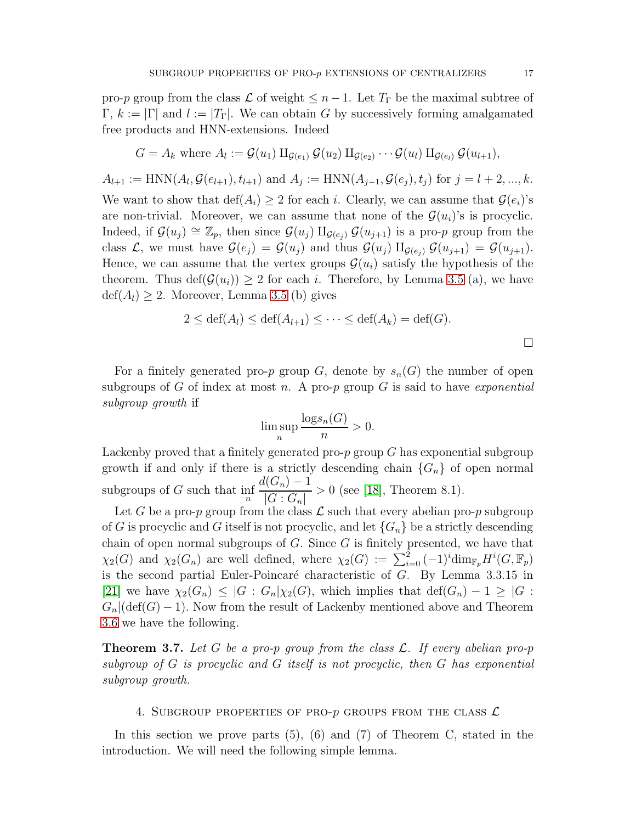pro-p group from the class  $\mathcal L$  of weight  $\leq n-1$ . Let  $T_{\Gamma}$  be the maximal subtree of  $\Gamma, k := |\Gamma|$  and  $l := |T_{\Gamma}|$ . We can obtain G by successively forming amalgamated free products and HNN-extensions. Indeed

$$
G = A_k \text{ where } A_l := \mathcal{G}(u_1) \amalg_{\mathcal{G}(e_1)} \mathcal{G}(u_2) \amalg_{\mathcal{G}(e_2)} \cdots \mathcal{G}(u_l) \amalg_{\mathcal{G}(e_l)} \mathcal{G}(u_{l+1}),
$$

 $A_{l+1} := \text{HNN}(A_l, \mathcal{G}(e_{l+1}), t_{l+1})$  and  $A_j := \text{HNN}(A_{j-1}, \mathcal{G}(e_j), t_j)$  for  $j = l+2, ..., k$ . We want to show that  $\text{def}(A_i) \geq 2$  for each i. Clearly, we can assume that  $\mathcal{G}(e_i)$ 's are non-trivial. Moreover, we can assume that none of the  $\mathcal{G}(u_i)$ 's is procyclic. Indeed, if  $\mathcal{G}(u_i) \cong \mathbb{Z}_p$ , then since  $\mathcal{G}(u_i) \amalg_{\mathcal{G}(e_i)} \mathcal{G}(u_{i+1})$  is a pro-p group from the class  $\mathcal{L}$ , we must have  $\mathcal{G}(e_i) = \mathcal{G}(u_i)$  and thus  $\mathcal{G}(u_i) \amalg_{\mathcal{G}(e_i)} \mathcal{G}(u_{i+1}) = \mathcal{G}(u_{i+1})$ . Hence, we can assume that the vertex groups  $\mathcal{G}(u_i)$  satisfy the hypothesis of the theorem. Thus  $\text{def}(\mathcal{G}(u_i)) \geq 2$  for each i. Therefore, by Lemma [3.5](#page-15-0) (a), we have  $\text{def}(A_l) \geq 2$ . Moreover, Lemma [3.5](#page-15-0) (b) gives

$$
2 \le \text{def}(A_l) \le \text{def}(A_{l+1}) \le \dots \le \text{def}(A_k) = \text{def}(G).
$$

For a finitely generated pro-p group  $G$ , denote by  $s_n(G)$  the number of open subgroups of G of index at most n. A pro-p group G is said to have *exponential* subgroup growth if

$$
\limsup_{n} \frac{\log s_n(G)}{n} > 0.
$$

Lackenby proved that a finitely generated pro- $p$  group  $G$  has exponential subgroup growth if and only if there is a strictly descending chain  ${G_n}$  of open normal subgroups of  $G$  such that  $\inf_{n}$  $d(G_n)-1$  $|G:G_n|$  $> 0$  (see [\[18\]](#page-27-13), Theorem 8.1).

Let G be a pro-p group from the class  $\mathcal L$  such that every abelian pro-p subgroup of G is procyclic and G itself is not procyclic, and let  ${G_n}$  be a strictly descending chain of open normal subgroups of  $G$ . Since  $G$  is finitely presented, we have that  $\chi_2(G)$  and  $\chi_2(G_n)$  are well defined, where  $\chi_2(G) := \sum_{i=0}^2 (-1)^i \dim_{\mathbb{F}_p} H^i(G, \mathbb{F}_p)$ is the second partial Euler-Poincaré characteristic of  $G$ . By Lemma 3.3.15 in [\[21\]](#page-27-14) we have  $\chi_2(G_n) \leq |G : G_n|\chi_2(G)$ , which implies that  $\text{def}(G_n) - 1 \geq |G : G_n|$  $G_n|(\text{def}(G)-1)$ . Now from the result of Lackenby mentioned above and Theorem [3.6](#page-15-1) we have the following.

**Theorem 3.7.** Let G be a pro-p group from the class  $\mathcal{L}$ . If every abelian pro-p subgroup of G is procyclic and G itself is not procyclic, then G has exponential subgroup growth.

## 4. SUBGROUP PROPERTIES OF PRO- $p$  groups from the class  $\mathcal L$

In this section we prove parts  $(5)$ ,  $(6)$  and  $(7)$  of Theorem C, stated in the introduction. We will need the following simple lemma.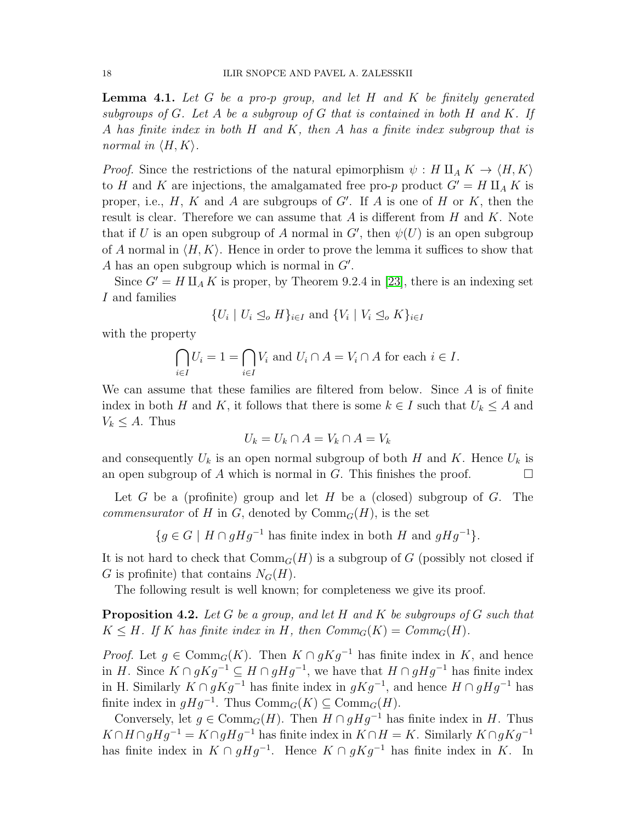<span id="page-17-0"></span>**Lemma 4.1.** Let G be a pro-p group, and let H and K be finitely generated subgroups of  $G$ . Let  $A$  be a subgroup of  $G$  that is contained in both  $H$  and  $K$ . If A has finite index in both H and K, then A has a finite index subgroup that is normal in  $\langle H, K \rangle$ .

*Proof.* Since the restrictions of the natural epimorphism  $\psi : H \amalg_A K \to \langle H, K \rangle$ to H and K are injections, the amalgamated free pro-p product  $G' = H \amalg_A K$  is proper, i.e.,  $H$ ,  $K$  and  $A$  are subgroups of  $G'$ . If  $A$  is one of  $H$  or  $K$ , then the result is clear. Therefore we can assume that  $A$  is different from  $H$  and  $K$ . Note that if U is an open subgroup of A normal in  $G'$ , then  $\psi(U)$  is an open subgroup of A normal in  $\langle H, K \rangle$ . Hence in order to prove the lemma it suffices to show that A has an open subgroup which is normal in  $G'$ .

Since  $G' = H \amalg_A K$  is proper, by Theorem 9.2.4 in [\[23\]](#page-27-6), there is an indexing set I and families

$$
\{U_i \mid U_i \leq_o H\}_{i \in I} \text{ and } \{V_i \mid V_i \leq_o K\}_{i \in I}
$$

with the property

$$
\bigcap_{i \in I} U_i = 1 = \bigcap_{i \in I} V_i \text{ and } U_i \cap A = V_i \cap A \text{ for each } i \in I.
$$

We can assume that these families are filtered from below. Since A is of finite index in both H and K, it follows that there is some  $k \in I$  such that  $U_k \leq A$  and  $V_k \leq A$ . Thus

$$
U_k = U_k \cap A = V_k \cap A = V_k
$$

and consequently  $U_k$  is an open normal subgroup of both H and K. Hence  $U_k$  is an open subgroup of A which is normal in G. This finishes the proof.  $\Box$ 

Let G be a (profinite) group and let H be a (closed) subgroup of  $G$ . The *commensurator* of H in G, denoted by  $Comm_G(H)$ , is the set

$$
\{g \in G \mid H \cap gHg^{-1} \text{ has finite index in both } H \text{ and } gHg^{-1}\}.
$$

It is not hard to check that  $Comm_G(H)$  is a subgroup of G (possibly not closed if G is profinite) that contains  $N_G(H)$ .

The following result is well known; for completeness we give its proof.

<span id="page-17-1"></span>**Proposition 4.2.** Let G be a group, and let H and K be subgroups of G such that  $K \leq H$ . If K has finite index in H, then  $Comm_G(K) = Comm_G(H)$ .

*Proof.* Let  $g \in \text{Comm}_G(K)$ . Then  $K \cap gKg^{-1}$  has finite index in K, and hence in H. Since  $K \cap gKg^{-1} \subseteq H \cap gHg^{-1}$ , we have that  $H \cap gHg^{-1}$  has finite index in H. Similarly  $K \cap gKg^{-1}$  has finite index in  $gKg^{-1}$ , and hence  $H \cap gHg^{-1}$  has finite index in  $gHg^{-1}$ . Thus  $\mathrm{Comm}_G(K) \subseteq \mathrm{Comm}_G(H)$ .

Conversely, let  $g \in \text{Comm}_G(H)$ . Then  $H \cap gHg^{-1}$  has finite index in H. Thus  $K \cap H \cap gHg^{-1} = K \cap gHg^{-1}$  has finite index in  $K \cap H = K$ . Similarly  $K \cap gKg^{-1}$ has finite index in  $K \cap gHg^{-1}$ . Hence  $K \cap gKg^{-1}$  has finite index in K. In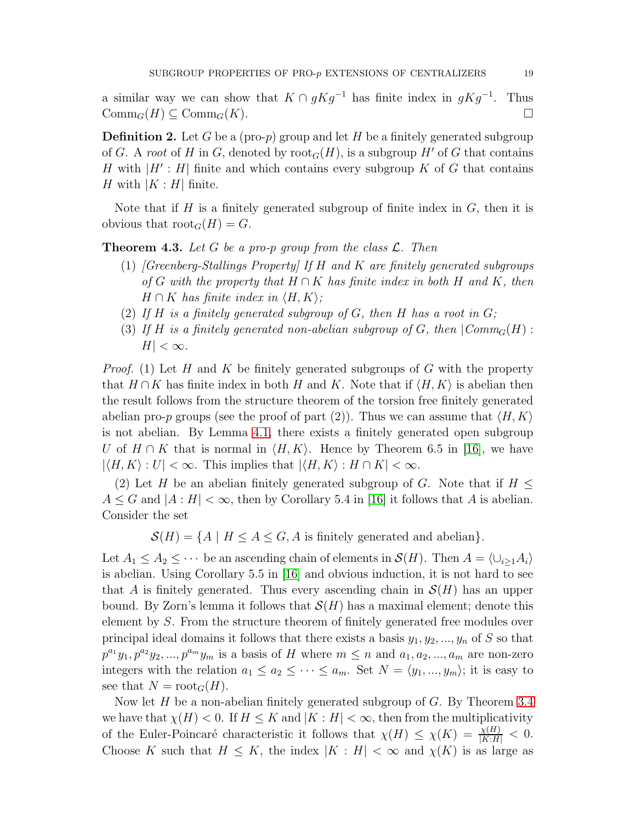a similar way we can show that  $K \cap gKg^{-1}$  has finite index in  $gKg^{-1}$ . Thus  $\mathrm{Comm}_G(H) \subseteq \mathrm{Comm}_G(K).$ 

**Definition 2.** Let G be a (pro-p) group and let H be a finitely generated subgroup of G. A root of H in G, denoted by  $\text{root}_G(H)$ , is a subgroup H' of G that contains H with  $|H':H|$  finite and which contains every subgroup K of G that contains H with  $|K : H|$  finite.

Note that if H is a finitely generated subgroup of finite index in  $G$ , then it is obvious that  $\text{root}_G(H) = G$ .

<span id="page-18-0"></span>**Theorem 4.3.** Let G be a pro-p group from the class  $\mathcal{L}$ . Then

- (1)  $[Greenberg-Stallings Property]$  If H and K are finitely generated subgroups of G with the property that  $H \cap K$  has finite index in both H and K, then  $H \cap K$  has finite index in  $\langle H, K \rangle$ ;
- (2) If H is a finitely generated subgroup of G, then H has a root in  $G$ ;
- (3) If H is a finitely generated non-abelian subgroup of G, then  $\mathcal{C}omm_G(H)$ :  $H| < \infty$ .

*Proof.* (1) Let H and K be finitely generated subgroups of G with the property that  $H \cap K$  has finite index in both H and K. Note that if  $\langle H, K \rangle$  is abelian then the result follows from the structure theorem of the torsion free finitely generated abelian pro-p groups (see the proof of part (2)). Thus we can assume that  $\langle H, K \rangle$ is not abelian. By Lemma [4.1,](#page-17-0) there exists a finitely generated open subgroup U of  $H \cap K$  that is normal in  $\langle H, K \rangle$ . Hence by Theorem 6.5 in [\[16\]](#page-27-0), we have  $|\langle H, K \rangle : U| < \infty$ . This implies that  $|\langle H, K \rangle : H \cap K| < \infty$ .

(2) Let H be an abelian finitely generated subgroup of G. Note that if  $H \leq$  $A \leq G$  and  $|A : H| < \infty$ , then by Corollary 5.4 in [\[16\]](#page-27-0) it follows that A is abelian. Consider the set

 $\mathcal{S}(H) = \{A \mid H \leq A \leq G, A \text{ is finitely generated and abelian}\}.$ 

Let  $A_1 \leq A_2 \leq \cdots$  be an ascending chain of elements in  $\mathcal{S}(H)$ . Then  $A = \langle \cup_{i\geq 1} A_i \rangle$ is abelian. Using Corollary 5.5 in [\[16\]](#page-27-0) and obvious induction, it is not hard to see that A is finitely generated. Thus every ascending chain in  $\mathcal{S}(H)$  has an upper bound. By Zorn's lemma it follows that  $\mathcal{S}(H)$  has a maximal element; denote this element by S. From the structure theorem of finitely generated free modules over principal ideal domains it follows that there exists a basis  $y_1, y_2, ..., y_n$  of S so that  $p^{a_1}y_1, p^{a_2}y_2, ..., p^{a_m}y_m$  is a basis of H where  $m \leq n$  and  $a_1, a_2, ..., a_m$  are non-zero integers with the relation  $a_1 \le a_2 \le \cdots \le a_m$ . Set  $N = \langle y_1, ..., y_m \rangle$ ; it is easy to see that  $N = \text{root}_G(H)$ .

Now let  $H$  be a non-abelian finitely generated subgroup of  $G$ . By Theorem [3.4](#page-14-0) we have that  $\chi(H) < 0$ . If  $H \leq K$  and  $|K : H| < \infty$ , then from the multiplicativity of the Euler-Poincaré characteristic it follows that  $\chi(H) \leq \chi(K) = \frac{\chi(H)}{|K:H|} < 0$ . Choose K such that  $H \leq K$ , the index  $|K : H| < \infty$  and  $\chi(K)$  is as large as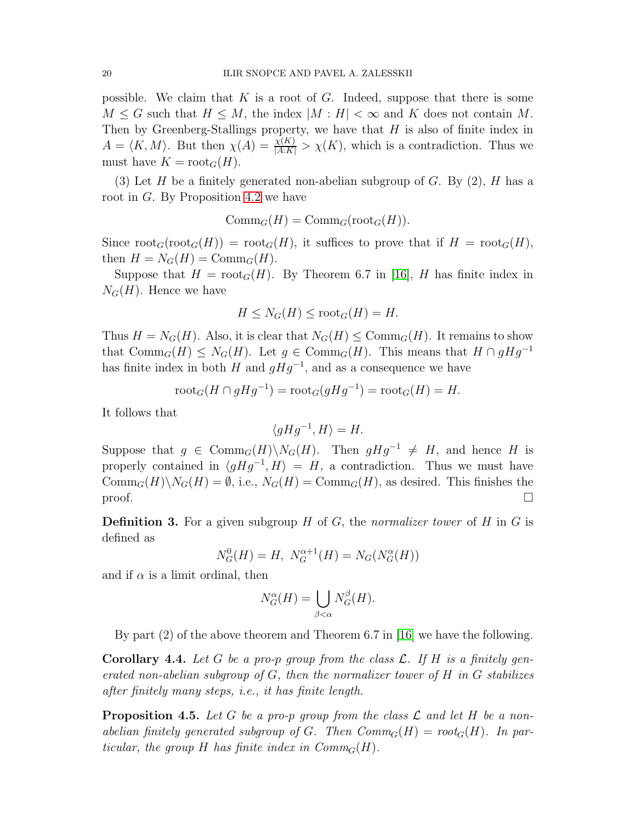possible. We claim that K is a root of G. Indeed, suppose that there is some  $M \leq G$  such that  $H \leq M$ , the index  $|M : H| < \infty$  and K does not contain M. Then by Greenberg-Stallings property, we have that  $H$  is also of finite index in  $A = \langle K, M \rangle$ . But then  $\chi(A) = \frac{\chi(K)}{|A:K|} > \chi(K)$ , which is a contradiction. Thus we must have  $K = \text{root}_G(H)$ .

(3) Let H be a finitely generated non-abelian subgroup of G. By  $(2)$ , H has a root in  $G$ . By Proposition [4.2](#page-17-1) we have

 $\mathrm{Comm}_{G}(H) = \mathrm{Comm}_{G}(\mathrm{root}_{G}(H)).$ 

Since  $\text{root}_G(\text{root}_G(H)) = \text{root}_G(H)$ , it suffices to prove that if  $H = \text{root}_G(H)$ , then  $H = N_G(H) = \text{Comm}_G(H)$ .

Suppose that  $H = \text{root}_G(H)$ . By Theorem 6.7 in [\[16\]](#page-27-0), H has finite index in  $N_G(H)$ . Hence we have

$$
H \le N_G(H) \le \text{root}_G(H) = H.
$$

Thus  $H = N_G(H)$ . Also, it is clear that  $N_G(H) \leq \text{Comm}_G(H)$ . It remains to show that  $\mathrm{Comm}_G(H) \leq N_G(H)$ . Let  $g \in \mathrm{Comm}_G(H)$ . This means that  $H \cap gHg^{-1}$ has finite index in both H and  $gHg^{-1}$ , and as a consequence we have

$$
\operatorname{root}_G(H \cap gHg^{-1}) = \operatorname{root}_G(gHg^{-1}) = \operatorname{root}_G(H) = H.
$$

It follows that

 $\langle gHg^{-1}, H \rangle = H.$ 

Suppose that  $g \in \text{Comm}_G(H) \backslash N_G(H)$ . Then  $gHg^{-1} \neq H$ , and hence H is properly contained in  $\langle g H g^{-1}, H \rangle = H$ , a contradiction. Thus we must have  $\mathrm{Comm}_G(H)\backslash N_G(H) = \emptyset$ , i.e.,  $N_G(H) = \mathrm{Comm}_G(H)$ , as desired. This finishes the  $\Box$ 

**Definition 3.** For a given subgroup  $H$  of  $G$ , the normalizer tower of  $H$  in  $G$  is defined as

 $N_G^0(H) = H$ ,  $N_G^{\alpha+1}(H) = N_G(N_G^{\alpha}(H))$ 

and if  $\alpha$  is a limit ordinal, then

$$
N_G^{\alpha}(H) = \bigcup_{\beta < \alpha} N_G^{\beta}(H).
$$

By part (2) of the above theorem and Theorem 6.7 in [\[16\]](#page-27-0) we have the following.

**Corollary 4.4.** Let G be a pro-p group from the class  $\mathcal{L}$ . If H is a finitely generated non-abelian subgroup of  $G$ , then the normalizer tower of  $H$  in  $G$  stabilizes after finitely many steps, i.e., it has finite length.

<span id="page-19-0"></span>**Proposition 4.5.** Let G be a pro-p group from the class  $\mathcal L$  and let H be a nonabelian finitely generated subgroup of G. Then  $Comm_G(H) = root_G(H)$ . In particular, the group H has finite index in  $Comm_G(H)$ .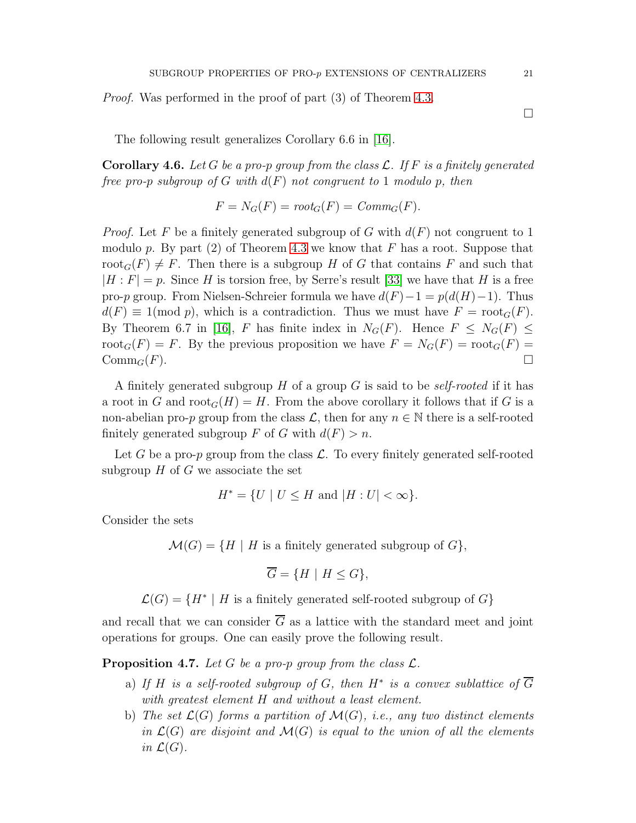Proof. Was performed in the proof of part (3) of Theorem [4.3.](#page-18-0)

The following result generalizes Corollary 6.6 in [\[16\]](#page-27-0).

<span id="page-20-0"></span>**Corollary 4.6.** Let G be a pro-p group from the class  $\mathcal{L}$ . If F is a finitely generated free pro-p subgroup of G with  $d(F)$  not congruent to 1 modulo p, then

$$
F = N_G(F) = root_G(F) = Comm_G(F).
$$

*Proof.* Let F be a finitely generated subgroup of G with  $d(F)$  not congruent to 1 modulo p. By part (2) of Theorem [4.3](#page-18-0) we know that F has a root. Suppose that  $\text{root}_G(F) \neq F$ . Then there is a subgroup H of G that contains F and such that  $|H : F| = p$ . Since H is torsion free, by Serre's result [\[33\]](#page-27-15) we have that H is a free pro-p group. From Nielsen-Schreier formula we have  $d(F) - 1 = p(d(H) - 1)$ . Thus  $d(F) \equiv 1 \pmod{p}$ , which is a contradiction. Thus we must have  $F = \text{root}_G(F)$ . By Theorem 6.7 in [\[16\]](#page-27-0), F has finite index in  $N_G(F)$ . Hence  $F \leq N_G(F) \leq$  $\text{root}_G(F) = F$ . By the previous proposition we have  $F = N_G(F) = \text{root}_G(F)$  $\mathrm{Comm}_G(F)$ .

A finitely generated subgroup H of a group G is said to be *self-rooted* if it has a root in G and  $\text{root}_G(H) = H$ . From the above corollary it follows that if G is a non-abelian pro-p group from the class  $\mathcal{L}$ , then for any  $n \in \mathbb{N}$  there is a self-rooted finitely generated subgroup F of G with  $d(F) > n$ .

Let G be a pro-p group from the class  $\mathcal{L}$ . To every finitely generated self-rooted subgroup  $H$  of  $G$  we associate the set

$$
H^* = \{ U \mid U \le H \text{ and } |H: U| < \infty \}.
$$

Consider the sets

 $\mathcal{M}(G) = \{H \mid H \text{ is a finitely generated subgroup of } G\},\$ 

$$
\overline{G} = \{ H \mid H \le G \},
$$

 $\mathcal{L}(G) = \{H^* \mid H \text{ is a finitely generated self-rooted subgroup of } G\}$ 

and recall that we can consider  $\overline{G}$  as a lattice with the standard meet and joint operations for groups. One can easily prove the following result.

<span id="page-20-1"></span>**Proposition 4.7.** Let G be a pro-p group from the class  $\mathcal{L}$ .

- a) If H is a self-rooted subgroup of G, then  $H^*$  is a convex sublattice of  $\overline{G}$ with greatest element H and without a least element.
- b) The set  $\mathcal{L}(G)$  forms a partition of  $\mathcal{M}(G)$ , i.e., any two distinct elements in  $\mathcal{L}(G)$  are disjoint and  $\mathcal{M}(G)$  is equal to the union of all the elements in  $\mathcal{L}(G)$ .

 $\Box$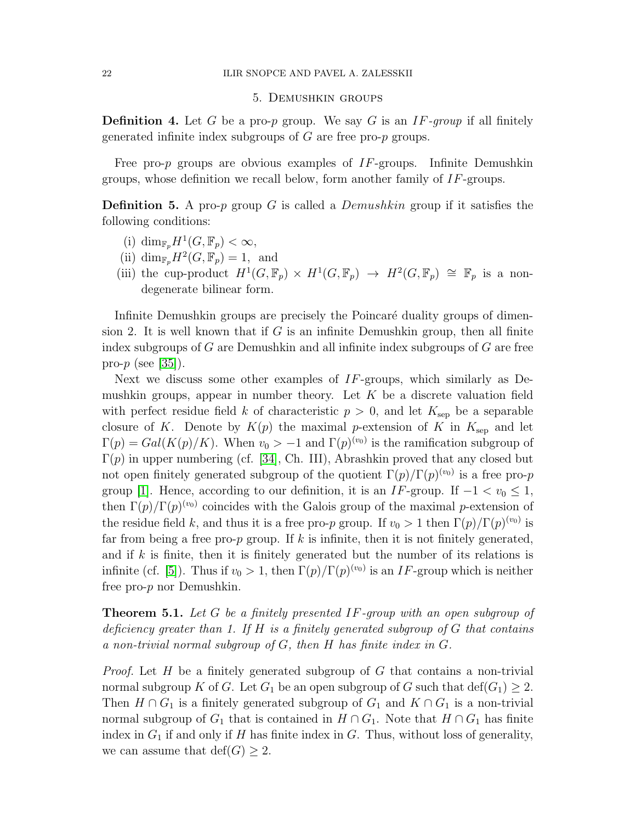# 5. Demushkin groups

**Definition 4.** Let G be a pro-p group. We say G is an  $IF\text{-}group$  if all finitely generated infinite index subgroups of  $G$  are free pro- $p$  groups.

Free pro-p groups are obvious examples of  $IF$ -groups. Infinite Demushkin groups, whose definition we recall below, form another family of IF-groups.

**Definition 5.** A pro-p group G is called a *Demushkin* group if it satisfies the following conditions:

- (i)  $\dim_{\mathbb{F}_p} H^1(G, \mathbb{F}_p) < \infty$ ,
- (ii)  $\dim_{\mathbb{F}_p} H^2(G, \mathbb{F}_p) = 1$ , and
- (iii) the cup-product  $H^1(G,\mathbb{F}_p) \times H^1(G,\mathbb{F}_p) \to H^2(G,\mathbb{F}_p) \cong \mathbb{F}_p$  is a nondegenerate bilinear form.

Infinite Demushkin groups are precisely the Poincaré duality groups of dimension 2. It is well known that if G is an infinite Demushkin group, then all finite index subgroups of  $G$  are Demushkin and all infinite index subgroups of  $G$  are free pro- $p$  (see [\[35\]](#page-27-11)).

Next we discuss some other examples of  $IF$ -groups, which similarly as Demushkin groups, appear in number theory. Let  $K$  be a discrete valuation field with perfect residue field k of characteristic  $p > 0$ , and let  $K_{\text{sep}}$  be a separable closure of K. Denote by  $K(p)$  the maximal p-extension of K in  $K_{\text{sep}}$  and let  $\Gamma(p) = Gal(K(p)/K)$ . When  $v_0 > -1$  and  $\Gamma(p)^{(v_0)}$  is the ramification subgroup of  $\Gamma(p)$  in upper numbering (cf. [\[34\]](#page-27-16), Ch. III), Abrashkin proved that any closed but not open finitely generated subgroup of the quotient  $\Gamma(p)/\Gamma(p)^{(v_0)}$  is a free pro-*p* group [\[1\]](#page-26-7). Hence, according to our definition, it is an IF-group. If  $-1 < v_0 \le 1$ , then  $\Gamma(p)/\Gamma(p)^{(v_0)}$  coincides with the Galois group of the maximal p-extension of the residue field k, and thus it is a free pro-p group. If  $v_0 > 1$  then  $\Gamma(p)/\Gamma(p)^{(v_0)}$  is far from being a free pro-p group. If k is infinite, then it is not finitely generated, and if k is finite, then it is finitely generated but the number of its relations is infinite (cf. [\[5\]](#page-26-8)). Thus if  $v_0 > 1$ , then  $\Gamma(p)/\Gamma(p)^{(v_0)}$  is an IF-group which is neither free pro-p nor Demushkin.

<span id="page-21-0"></span>Theorem 5.1. Let G be a finitely presented IF-group with an open subgroup of deficiency greater than 1. If  $H$  is a finitely generated subgroup of  $G$  that contains a non-trivial normal subgroup of  $G$ , then  $H$  has finite index in  $G$ .

*Proof.* Let H be a finitely generated subgroup of G that contains a non-trivial normal subgroup K of G. Let  $G_1$  be an open subgroup of G such that  $\text{def}(G_1) \geq 2$ . Then  $H \cap G_1$  is a finitely generated subgroup of  $G_1$  and  $K \cap G_1$  is a non-trivial normal subgroup of  $G_1$  that is contained in  $H \cap G_1$ . Note that  $H \cap G_1$  has finite index in  $G_1$  if and only if H has finite index in G. Thus, without loss of generality, we can assume that  $\text{def}(G) \geq 2$ .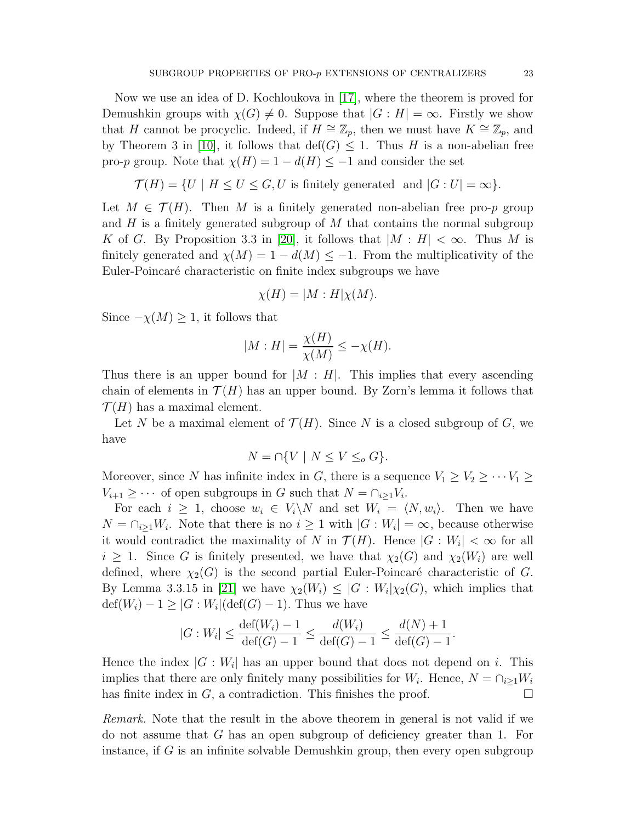Now we use an idea of D. Kochloukova in [\[17\]](#page-27-17), where the theorem is proved for Demushkin groups with  $\chi(G) \neq 0$ . Suppose that  $|G : H| = \infty$ . Firstly we show that H cannot be procyclic. Indeed, if  $H \cong \mathbb{Z}_p$ , then we must have  $K \cong \mathbb{Z}_p$ , and by Theorem 3 in [\[10\]](#page-26-9), it follows that  $\text{def}(G) \leq 1$ . Thus H is a non-abelian free pro-p group. Note that  $\chi(H) = 1 - d(H) \leq -1$  and consider the set

$$
\mathcal{T}(H) = \{ U \mid H \le U \le G, U \text{ is finitely generated and } |G:U| = \infty \}.
$$

Let  $M \in \mathcal{T}(H)$ . Then M is a finitely generated non-abelian free pro-p group and H is a finitely generated subgroup of M that contains the normal subgroup K of G. By Proposition 3.3 in [\[20\]](#page-27-18), it follows that  $|M : H| < \infty$ . Thus M is finitely generated and  $\chi(M) = 1 - d(M) \leq -1$ . From the multiplicativity of the Euler-Poincaré characteristic on finite index subgroups we have

$$
\chi(H) = |M : H|\chi(M).
$$

Since  $-\chi(M) \geq 1$ , it follows that

$$
|M:H| = \frac{\chi(H)}{\chi(M)} \le -\chi(H).
$$

Thus there is an upper bound for  $|M : H|$ . This implies that every ascending chain of elements in  $\mathcal{T}(H)$  has an upper bound. By Zorn's lemma it follows that  $\mathcal{T}(H)$  has a maximal element.

Let N be a maximal element of  $\mathcal{T}(H)$ . Since N is a closed subgroup of G, we have

$$
N = \cap \{ V \mid N \le V \le_o G \}.
$$

Moreover, since N has infinite index in G, there is a sequence  $V_1 \geq V_2 \geq \cdots V_1 \geq$  $V_{i+1} \geq \cdots$  of open subgroups in G such that  $N = \bigcap_{i \geq 1} V_i$ .

For each  $i \geq 1$ , choose  $w_i \in V_i \backslash N$  and set  $W_i = \langle N, w_i \rangle$ . Then we have  $N = \bigcap_{i \geq 1} W_i$ . Note that there is no  $i \geq 1$  with  $|G: W_i| = \infty$ , because otherwise it would contradict the maximality of N in  $\mathcal{T}(H)$ . Hence  $|G:W_i| < \infty$  for all  $i \geq 1$ . Since G is finitely presented, we have that  $\chi_2(G)$  and  $\chi_2(W_i)$  are well defined, where  $\chi_2(G)$  is the second partial Euler-Poincaré characteristic of G. By Lemma 3.3.15 in [\[21\]](#page-27-14) we have  $\chi_2(W_i) \leq |G: W_i|\chi_2(G)$ , which implies that  $\text{def}(W_i) - 1 \geq |G:W_i|(\text{def}(G) - 1)$ . Thus we have

$$
|G:W_i| \le \frac{\text{def}(W_i) - 1}{\text{def}(G) - 1} \le \frac{d(W_i)}{\text{def}(G) - 1} \le \frac{d(N) + 1}{\text{def}(G) - 1}.
$$

Hence the index  $|G:W_i|$  has an upper bound that does not depend on i. This implies that there are only finitely many possibilities for  $W_i$ . Hence,  $N = \bigcap_{i \geq 1} W_i$ has finite index in  $G$ , a contradiction. This finishes the proof.  $\Box$ 

Remark. Note that the result in the above theorem in general is not valid if we do not assume that G has an open subgroup of deficiency greater than 1. For instance, if  $G$  is an infinite solvable Demushkin group, then every open subgroup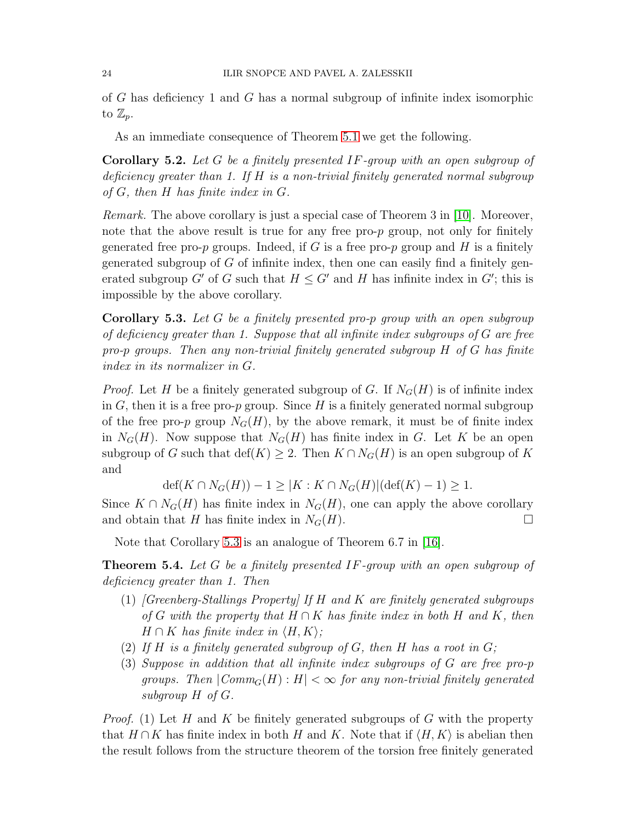of G has deficiency 1 and G has a normal subgroup of infinite index isomorphic to  $\mathbb{Z}_p$ .

As an immediate consequence of Theorem [5.1](#page-21-0) we get the following.

Corollary 5.2. Let G be a finitely presented IF-group with an open subgroup of deficiency greater than 1. If  $H$  is a non-trivial finitely generated normal subgroup of  $G$ , then  $H$  has finite index in  $G$ .

Remark. The above corollary is just a special case of Theorem 3 in [\[10\]](#page-26-9). Moreover, note that the above result is true for any free pro-p group, not only for finitely generated free pro-p groups. Indeed, if G is a free pro-p group and H is a finitely generated subgroup of  $G$  of infinite index, then one can easily find a finitely generated subgroup G' of G such that  $H \leq G'$  and H has infinite index in G'; this is impossible by the above corollary.

<span id="page-23-0"></span>Corollary 5.3. Let G be a finitely presented pro-p group with an open subgroup of deficiency greater than 1. Suppose that all infinite index subgroups of  $G$  are free pro-p groups. Then any non-trivial finitely generated subgroup H of G has finite index in its normalizer in G.

*Proof.* Let H be a finitely generated subgroup of G. If  $N_G(H)$  is of infinite index in  $G$ , then it is a free pro-p group. Since H is a finitely generated normal subgroup of the free pro-p group  $N_G(H)$ , by the above remark, it must be of finite index in  $N_G(H)$ . Now suppose that  $N_G(H)$  has finite index in G. Let K be an open subgroup of G such that  $\det(K) \geq 2$ . Then  $K \cap N_G(H)$  is an open subgroup of K and

 $\det(K \cap N_G(H)) - 1 \geq |K : K \cap N_G(H)|(\det(K) - 1) \geq 1.$ 

Since  $K \cap N_G(H)$  has finite index in  $N_G(H)$ , one can apply the above corollary and obtain that H has finite index in  $N_G(H)$ .

Note that Corollary [5.3](#page-23-0) is an analogue of Theorem 6.7 in [\[16\]](#page-27-0).

Theorem 5.4. Let G be a finitely presented IF-group with an open subgroup of deficiency greater than 1. Then

- (1)  $[Greenberg-Stallings Property]$  If H and K are finitely generated subgroups of G with the property that  $H \cap K$  has finite index in both H and K, then  $H \cap K$  has finite index in  $\langle H, K \rangle$ ;
- (2) If H is a finitely generated subgroup of G, then H has a root in  $G$ ;
- (3) Suppose in addition that all infinite index subgroups of G are free pro-p groups. Then  $|Comm_G(H): H| < \infty$  for any non-trivial finitely generated subgroup H of G.

*Proof.* (1) Let H and K be finitely generated subgroups of G with the property that  $H \cap K$  has finite index in both H and K. Note that if  $\langle H, K \rangle$  is abelian then the result follows from the structure theorem of the torsion free finitely generated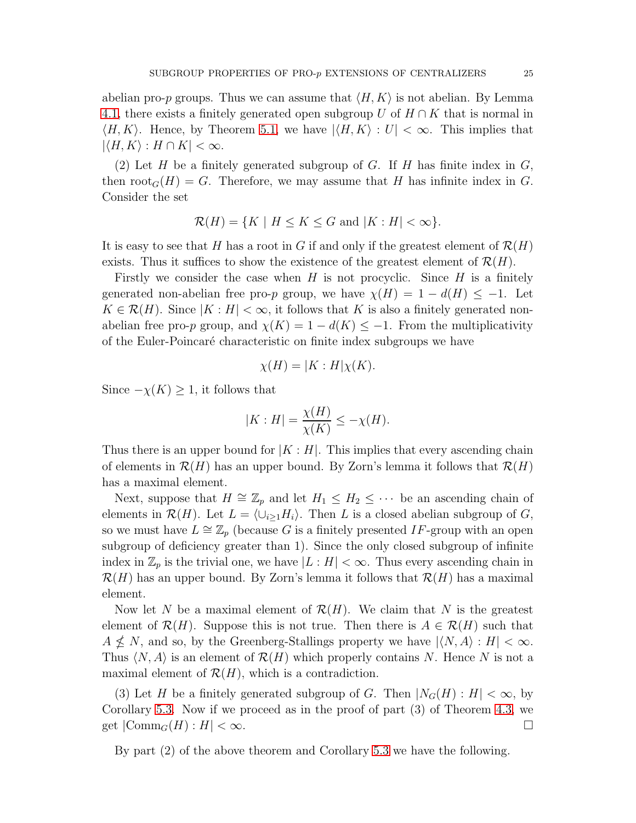abelian pro-p groups. Thus we can assume that  $\langle H, K \rangle$  is not abelian. By Lemma [4.1,](#page-17-0) there exists a finitely generated open subgroup U of  $H \cap K$  that is normal in  $\langle H, K \rangle$ . Hence, by Theorem [5.1,](#page-21-0) we have  $|\langle H, K \rangle : U| < \infty$ . This implies that  $|\langle H, K \rangle : H \cap K| < \infty.$ 

(2) Let H be a finitely generated subgroup of G. If H has finite index in  $G$ , then  $\text{root}_G(H) = G$ . Therefore, we may assume that H has infinite index in G. Consider the set

$$
\mathcal{R}(H) = \{ K \mid H \le K \le G \text{ and } |K : H| < \infty \}.
$$

It is easy to see that H has a root in G if and only if the greatest element of  $\mathcal{R}(H)$ exists. Thus it suffices to show the existence of the greatest element of  $\mathcal{R}(H)$ .

Firstly we consider the case when  $H$  is not procyclic. Since  $H$  is a finitely generated non-abelian free pro-p group, we have  $\chi(H) = 1 - d(H) \le -1$ . Let  $K \in \mathcal{R}(H)$ . Since  $|K : H| < \infty$ , it follows that K is also a finitely generated nonabelian free pro-p group, and  $\chi(K) = 1 - d(K) \leq -1$ . From the multiplicativity of the Euler-Poincaré characteristic on finite index subgroups we have

$$
\chi(H) = |K : H|\chi(K).
$$

Since  $-\chi(K) \geq 1$ , it follows that

$$
|K:H| = \frac{\chi(H)}{\chi(K)} \le -\chi(H).
$$

Thus there is an upper bound for  $|K : H|$ . This implies that every ascending chain of elements in  $\mathcal{R}(H)$  has an upper bound. By Zorn's lemma it follows that  $\mathcal{R}(H)$ has a maximal element.

Next, suppose that  $H \cong \mathbb{Z}_p$  and let  $H_1 \leq H_2 \leq \cdots$  be an ascending chain of elements in  $\mathcal{R}(H)$ . Let  $L = \langle \cup_{i\geq 1} H_i \rangle$ . Then L is a closed abelian subgroup of G, so we must have  $L \cong \mathbb{Z}_p$  (because G is a finitely presented IF-group with an open subgroup of deficiency greater than 1). Since the only closed subgroup of infinite index in  $\mathbb{Z}_p$  is the trivial one, we have  $|L : H| < \infty$ . Thus every ascending chain in  $\mathcal{R}(H)$  has an upper bound. By Zorn's lemma it follows that  $\mathcal{R}(H)$  has a maximal element.

Now let N be a maximal element of  $\mathcal{R}(H)$ . We claim that N is the greatest element of  $\mathcal{R}(H)$ . Suppose this is not true. Then there is  $A \in \mathcal{R}(H)$  such that  $A \nleq N$ , and so, by the Greenberg-Stallings property we have  $|\langle N, A \rangle : H| < \infty$ . Thus  $\langle N, A \rangle$  is an element of  $\mathcal{R}(H)$  which properly contains N. Hence N is not a maximal element of  $\mathcal{R}(H)$ , which is a contradiction.

(3) Let H be a finitely generated subgroup of G. Then  $|N_G(H): H| < \infty$ , by Corollary [5.3.](#page-23-0) Now if we proceed as in the proof of part (3) of Theorem [4.3,](#page-18-0) we get  $|\text{Comm}_G(H): H| < \infty$ .

By part (2) of the above theorem and Corollary [5.3](#page-23-0) we have the following.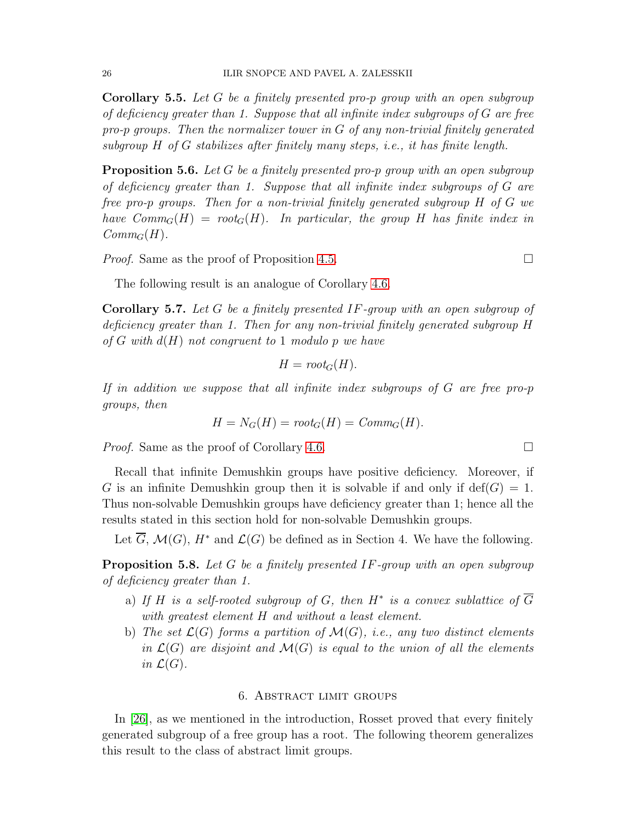Corollary 5.5. Let G be a finitely presented pro-p group with an open subgroup of deficiency greater than 1. Suppose that all infinite index subgroups of G are free pro-p groups. Then the normalizer tower in  $G$  of any non-trivial finitely generated subgroup  $H$  of  $G$  stabilizes after finitely many steps, i.e., it has finite length.

**Proposition 5.6.** Let G be a finitely presented pro-p group with an open subgroup of deficiency greater than 1. Suppose that all infinite index subgroups of G are free pro-p groups. Then for a non-trivial finitely generated subgroup H of G we have  $Comm_G(H) = root_G(H)$ . In particular, the group H has finite index in  $Comm_G(H)$ .

*Proof.* Same as the proof of Proposition [4.5.](#page-19-0)

The following result is an analogue of Corollary [4.6.](#page-20-0)

Corollary 5.7. Let G be a finitely presented IF-group with an open subgroup of deficiency greater than 1. Then for any non-trivial finitely generated subgroup H of G with  $d(H)$  not congruent to 1 modulo p we have

$$
H = root_G(H).
$$

If in addition we suppose that all infinite index subgroups of G are free pro-p groups, then

$$
H = N_G(H) = root_G(H) = Comm_G(H).
$$

*Proof.* Same as the proof of Corollary [4.6.](#page-20-0)

Recall that infinite Demushkin groups have positive deficiency. Moreover, if G is an infinite Demushkin group then it is solvable if and only if  $\text{def}(G) = 1$ . Thus non-solvable Demushkin groups have deficiency greater than 1; hence all the results stated in this section hold for non-solvable Demushkin groups.

Let  $\overline{G}$ ,  $\mathcal{M}(G)$ ,  $H^*$  and  $\mathcal{L}(G)$  be defined as in Section 4. We have the following.

Proposition 5.8. Let G be a finitely presented IF-group with an open subgroup of deficiency greater than 1.

- a) If H is a self-rooted subgroup of G, then  $H^*$  is a convex sublattice of  $\overline{G}$ with greatest element H and without a least element.
- b) The set  $\mathcal{L}(G)$  forms a partition of  $\mathcal{M}(G)$ , i.e., any two distinct elements in  $\mathcal{L}(G)$  are disjoint and  $\mathcal{M}(G)$  is equal to the union of all the elements in  $\mathcal{L}(G)$ .

## 6. Abstract limit groups

In [\[26\]](#page-27-4), as we mentioned in the introduction, Rosset proved that every finitely generated subgroup of a free group has a root. The following theorem generalizes this result to the class of abstract limit groups.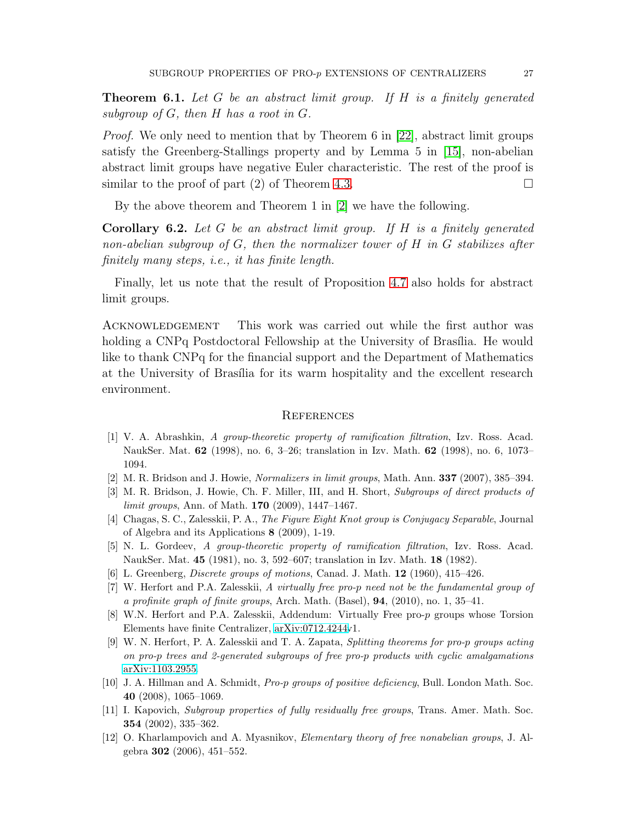**Theorem 6.1.** Let G be an abstract limit group. If H is a finitely generated subgroup of  $G$ , then  $H$  has a root in  $G$ .

Proof. We only need to mention that by Theorem 6 in [\[22\]](#page-27-3), abstract limit groups satisfy the Greenberg-Stallings property and by Lemma 5 in [\[15\]](#page-27-1), non-abelian abstract limit groups have negative Euler characteristic. The rest of the proof is similar to the proof of part (2) of Theorem [4.3.](#page-18-0)

By the above theorem and Theorem 1 in [\[2\]](#page-26-10) we have the following.

**Corollary 6.2.** Let  $G$  be an abstract limit group. If  $H$  is a finitely generated non-abelian subgroup of G, then the normalizer tower of H in G stabilizes after finitely many steps, i.e., it has finite length.

Finally, let us note that the result of Proposition [4.7](#page-20-1) also holds for abstract limit groups.

ACKNOWLEDGEMENT This work was carried out while the first author was holding a CNPq Postdoctoral Fellowship at the University of Brasília. He would like to thank CNPq for the financial support and the Department of Mathematics at the University of Brasília for its warm hospitality and the excellent research environment.

#### **REFERENCES**

- <span id="page-26-7"></span>[1] V. A. Abrashkin, A group-theoretic property of ramification filtration, Izv. Ross. Acad. NaukSer. Mat. 62 (1998), no. 6, 3–26; translation in Izv. Math. 62 (1998), no. 6, 1073– 1094.
- <span id="page-26-10"></span><span id="page-26-2"></span>[2] M. R. Bridson and J. Howie, Normalizers in limit groups, Math. Ann. 337 (2007), 385–394.
- <span id="page-26-6"></span>[3] M. R. Bridson, J. Howie, Ch. F. Miller, III, and H. Short, Subgroups of direct products of limit groups, Ann. of Math. **170** (2009), 1447–1467.
- [4] Chagas, S. C., Zalesskii, P. A., The Figure Eight Knot group is Conjugacy Separable, Journal of Algebra and its Applications 8 (2009), 1-19.
- <span id="page-26-8"></span><span id="page-26-3"></span>[5] N. L. Gordeev, A group-theoretic property of ramification filtration, Izv. Ross. Acad. NaukSer. Mat. 45 (1981), no. 3, 592–607; translation in Izv. Math. 18 (1982).
- <span id="page-26-0"></span>[6] L. Greenberg, Discrete groups of motions, Canad. J. Math. 12 (1960), 415–426.
- [7] W. Herfort and P.A. Zalesskii, A virtually free pro-p need not be the fundamental group of a profinite graph of finite groups, Arch. Math. (Basel), 94, (2010), no. 1, 35–41.
- <span id="page-26-5"></span>[8] W.N. Herfort and P.A. Zalesskii, Addendum: Virtually Free pro-p groups whose Torsion Elements have finite Centralizer, [arXiv:0712.4244v](http://arxiv.org/abs/0712.4244)1.
- <span id="page-26-1"></span>[9] W. N. Herfort, P. A. Zalesskii and T. A. Zapata, Splitting theorems for pro-p groups acting on pro-p trees and 2-generated subgroups of free pro-p products with cyclic amalgamations [arXiv:1103.2955.](http://arxiv.org/abs/1103.2955)
- <span id="page-26-9"></span>[10] J. A. Hillman and A. Schmidt, *Pro-p groups of positive deficiency*, Bull. London Math. Soc. 40 (2008), 1065–1069.
- <span id="page-26-4"></span>[11] I. Kapovich, Subgroup properties of fully residually free groups, Trans. Amer. Math. Soc. 354 (2002), 335–362.
- [12] O. Kharlampovich and A. Myasnikov, Elementary theory of free nonabelian groups, J. Algebra 302 (2006), 451–552.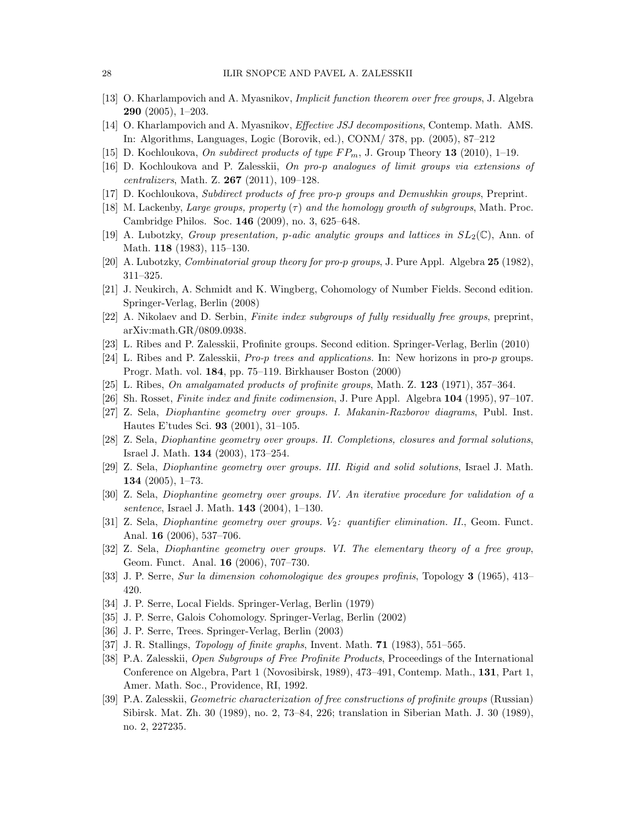- [13] O. Kharlampovich and A. Myasnikov, Implicit function theorem over free groups, J. Algebra 290 (2005), 1–203.
- <span id="page-27-1"></span>[14] O. Kharlampovich and A. Myasnikov, Effective JSJ decompositions, Contemp. Math. AMS. In: Algorithms, Languages, Logic (Borovik, ed.), CONM/ 378, pp. (2005), 87–212
- <span id="page-27-0"></span>[15] D. Kochloukova, On subdirect products of type  $FP_m$ , J. Group Theory 13 (2010), 1–19.
- <span id="page-27-17"></span>[16] D. Kochloukova and P. Zalesskii, On pro-p analogues of limit groups via extensions of centralizers, Math. Z.  $267$  (2011), 109-128.
- <span id="page-27-13"></span>[17] D. Kochloukova, Subdirect products of free pro-p groups and Demushkin groups, Preprint.
- <span id="page-27-12"></span>[18] M. Lackenby, Large groups, property  $(\tau)$  and the homology growth of subgroups, Math. Proc. Cambridge Philos. Soc. 146 (2009), no. 3, 625–648.
- <span id="page-27-18"></span>[19] A. Lubotzky, *Group presentation, p-adic analytic groups and lattices in*  $SL_2(\mathbb{C})$ , Ann. of Math. 118 (1983), 115–130.
- <span id="page-27-14"></span>[20] A. Lubotzky, Combinatorial group theory for pro-p groups, J. Pure Appl. Algebra 25 (1982), 311–325.
- <span id="page-27-3"></span>[21] J. Neukirch, A. Schmidt and K. Wingberg, Cohomology of Number Fields. Second edition. Springer-Verlag, Berlin (2008)
- <span id="page-27-6"></span>[22] A. Nikolaev and D. Serbin, Finite index subgroups of fully residually free groups, preprint, arXiv:math.GR/0809.0938.
- <span id="page-27-5"></span>[23] L. Ribes and P. Zalesskii, Profinite groups. Second edition. Springer-Verlag, Berlin (2010)
- <span id="page-27-10"></span>[24] L. Ribes and P. Zalesskii, *Pro-p trees and applications*. In: New horizons in pro-p groups. Progr. Math. vol. 184, pp. 75–119. Birkhauser Boston (2000)
- <span id="page-27-4"></span>[25] L. Ribes, On amalgamated products of profinite groups, Math. Z. 123 (1971), 357–364.
- [26] Sh. Rosset, Finite index and finite codimension, J. Pure Appl. Algebra 104 (1995), 97–107.
- [27] Z. Sela, Diophantine geometry over groups. I. Makanin-Razborov diagrams, Publ. Inst. Hautes E'tudes Sci. 93 (2001), 31–105.
- [28] Z. Sela, Diophantine geometry over groups. II. Completions, closures and formal solutions, Israel J. Math. 134 (2003), 173–254.
- [29] Z. Sela, Diophantine geometry over groups. III. Rigid and solid solutions, Israel J. Math. 134 (2005), 1–73.
- [30] Z. Sela, Diophantine geometry over groups. IV. An iterative procedure for validation of a sentence, Israel J. Math. **143** (2004), 1-130.
- [31] Z. Sela, *Diophantine geometry over groups.*  $V_2$ : *quantifier elimination. II.*, Geom. Funct. Anal. 16 (2006), 537–706.
- [32] Z. Sela, Diophantine geometry over groups. VI. The elementary theory of a free group, Geom. Funct. Anal. 16 (2006), 707–730.
- <span id="page-27-16"></span><span id="page-27-15"></span>[33] J. P. Serre, Sur la dimension cohomologique des groupes profinis, Topology 3 (1965), 413– 420.
- <span id="page-27-11"></span>[34] J. P. Serre, Local Fields. Springer-Verlag, Berlin (1979)
- <span id="page-27-9"></span>[35] J. P. Serre, Galois Cohomology. Springer-Verlag, Berlin (2002)
- <span id="page-27-2"></span>[36] J. P. Serre, Trees. Springer-Verlag, Berlin (2003)
- <span id="page-27-8"></span>[37] J. R. Stallings, *Topology of finite graphs*, Invent. Math. **71** (1983), 551–565.
- [38] P.A. Zalesskii, Open Subgroups of Free Profinite Products, Proceedings of the International Conference on Algebra, Part 1 (Novosibirsk, 1989), 473–491, Contemp. Math., 131, Part 1, Amer. Math. Soc., Providence, RI, 1992.
- <span id="page-27-7"></span>[39] P.A. Zalesskii, Geometric characterization of free constructions of profinite groups (Russian) Sibirsk. Mat. Zh. 30 (1989), no. 2, 73–84, 226; translation in Siberian Math. J. 30 (1989), no. 2, 227235.